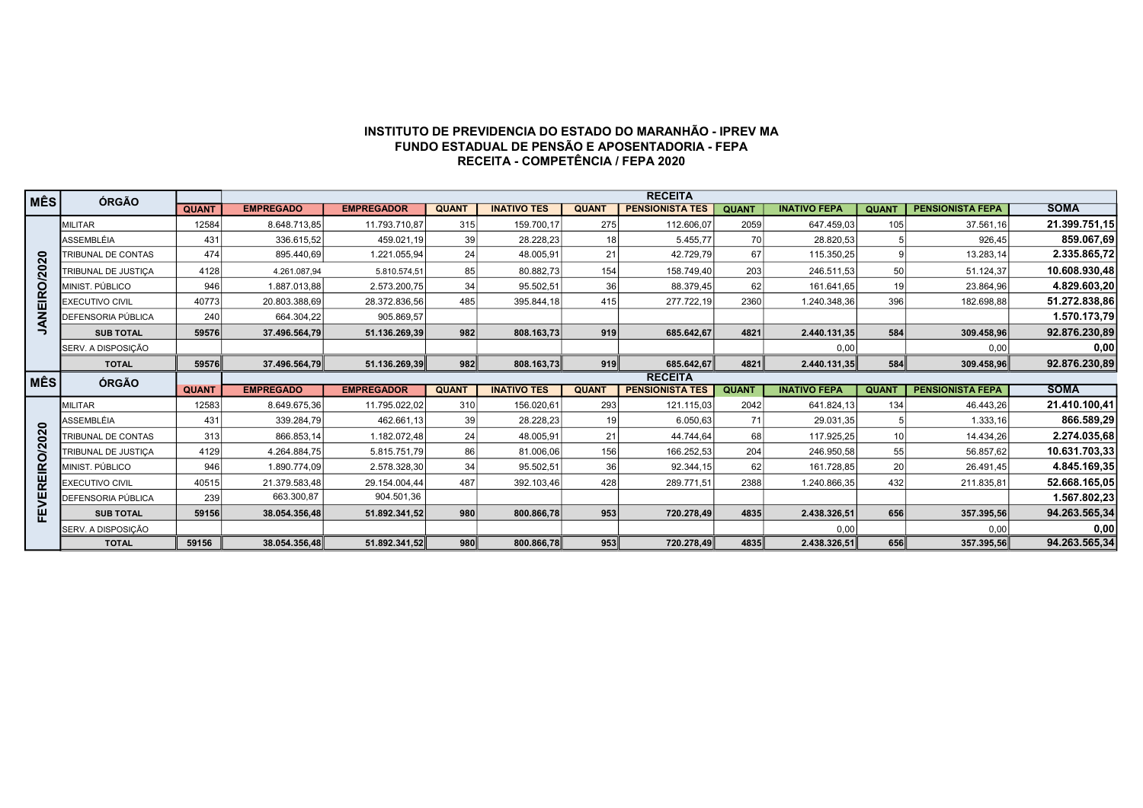## INSTITUTO DE PREVIDENCIA DO ESTADO DO MARANHÃO - IPREV MA FUNDO ESTADUAL DE PENSÃO E APOSENTADORIA - FEPA RECEITA - COMPETÊNCIA / FEPA 2020

| <b>MÊS</b>        | ÓRGÃO                      |              |                  |                   |              |                    |                 | <b>RECEITA</b>         |              |                     |                 |                         |               |
|-------------------|----------------------------|--------------|------------------|-------------------|--------------|--------------------|-----------------|------------------------|--------------|---------------------|-----------------|-------------------------|---------------|
|                   |                            | <b>QUANT</b> | <b>EMPREGADO</b> | <b>EMPREGADOR</b> | <b>QUANT</b> | <b>INATIVO TES</b> | <b>QUANT</b>    | <b>PENSIONISTA TES</b> | <b>QUANT</b> | <b>INATIVO FEPA</b> | <b>QUANT</b>    | <b>PENSIONISTA FEPA</b> | <b>SOMA</b>   |
|                   | <b>MILITAR</b>             | 12584        | 8.648.713,85     | 11.793.710,87     | 315          | 159.700,17         | 275             | 112.606,07             | 2059         | 647.459,03          | 105             | 37.561,16               | 21.399.751,15 |
|                   | ASSEMBLÉIA                 | 431          | 336.615,52       | 459.021,19        | 39           | 28.228,23          | 18              | 5.455.77               | 70           | 28.820,53           |                 | 926.45                  | 859.067,69    |
|                   | <b>TRIBUNAL DE CONTAS</b>  | 474          | 895.440,69       | 1.221.055,94      | 24           | 48.005,91          | 21              | 42.729,79              | 67           | 115.350,25          |                 | 13.283,14               | 2.335.865,72  |
|                   | <b>TRIBUNAL DE JUSTICA</b> | 4128         | 4.261.087.94     | 5.810.574.51      | 85           | 80.882,73          | 154             | 158.749.40             | 203          | 246.511.53          | 50              | 51.124.37               | 10.608.930,48 |
|                   | MINIST, PÚBLICO            | 946          | 1.887.013,88     | 2.573.200,75      | 34           | 95.502,51          | 36 <sup>1</sup> | 88.379,45              | 62           | 161.641,65          | 19              | 23.864,96               | 4.829.603,20  |
| JANEIRO/2020      | <b>EXECUTIVO CIVIL</b>     | 40773        | 20.803.388.69    | 28.372.836.56     | 485          | 395.844,18         | 415             | 277.722,19             | 2360         | 1.240.348,36        | 396             | 182.698.88              | 51.272.838,86 |
|                   | DEFENSORIA PÚBLICA         | 240          | 664.304,22       | 905.869,57        |              |                    |                 |                        |              |                     |                 |                         | 1.570.173,79  |
|                   | <b>SUB TOTAL</b>           | 59576        | 37.496.564.79    | 51.136.269,39     | 982          | 808.163,73         | 919             | 685.642,67             | 4821         | 2.440.131,35        | 584             | 309.458,96              | 92.876.230,89 |
|                   | SERV. A DISPOSIÇÃO         |              |                  |                   |              |                    |                 |                        |              | 0,00                |                 | 0,00                    | 0,00          |
|                   | <b>TOTAL</b>               | 59576        | 37.496.564.79    | 51.136.269.39     | 982          | 808.163,73         | 919             | 685.642.67             | 4821         | 2.440.131.35        | 584             | 309.458.96              | 92.876.230,89 |
|                   |                            |              |                  |                   |              |                    |                 |                        |              |                     |                 |                         |               |
|                   |                            |              |                  |                   |              |                    |                 | <b>RECEITA</b>         |              |                     |                 |                         |               |
| <b>MÊS</b>        | ÓRGÃO                      | <b>QUANT</b> | <b>EMPREGADO</b> | <b>EMPREGADOR</b> | <b>QUANT</b> | <b>INATIVO TES</b> | <b>QUANT</b>    | <b>PENSIONISTA TES</b> | <b>QUANT</b> | <b>INATIVO FEPA</b> | <b>QUANT</b>    | <b>PENSIONISTA FEPA</b> | <b>SOMA</b>   |
|                   | <b>MILITAR</b>             | 12583        | 8.649.675.36     | 11.795.022,02     | 310          | 156.020,61         | 293             | 121.115.03             | 2042         | 641.824,13          | 134             | 46.443.26               | 21.410.100,41 |
|                   | ASSEMBLÉIA                 | 431          | 339.284,79       | 462.661,13        | 39           | 28.228,23          | 19              | 6.050,63               | 71           | 29.031,35           |                 | 1.333,16                | 866.589,29    |
|                   | TRIBUNAL DE CONTAS         | 313          | 866.853,14       | 1.182.072,48      | 24           | 48.005,91          | 21              | 44.744.64              | 68           | 117.925,25          | 10 <sup>1</sup> | 14.434,26               | 2.274.035,68  |
|                   | TRIBUNAL DE JUSTICA        | 4129         | 4.264.884,75     | 5.815.751,79      | 86           | 81.006,06          | 156             | 166.252,53             | 204          | 246.950,58          | 55              | 56.857,62               | 10.631.703,33 |
|                   | MINIST, PÚBLICO            | 946          | 1.890.774,09     | 2.578.328,30      | 34           | 95.502,51          | 36 <sup>1</sup> | 92.344.15              | 62           | 161.728,85          | 20 <sup>1</sup> | 26.491.45               | 4.845.169,35  |
|                   | <b>EXECUTIVO CIVIL</b>     | 40515        | 21.379.583.48    | 29.154.004,44     | 487          | 392.103,46         | 428             | 289.771,51             | 2388         | 1.240.866,35        | 432             | 211.835,81              | 52.668.165,05 |
| <b>REIRO/2020</b> | DEFENSORIA PÚBLICA         | 239          | 663.300,87       | 904.501,36        |              |                    |                 |                        |              |                     |                 |                         | 1.567.802,23  |
|                   | <b>SUB TOTAL</b>           | 59156        | 38.054.356.48    | 51.892.341,52     | 980          | 800.866,78         | 953             | 720.278,49             | 4835         | 2.438.326,51        | 656             | 357.395,56              | 94.263.565,34 |
| FEVEI             | SERV. A DISPOSIÇÃO         |              |                  |                   |              |                    |                 |                        |              | 0,00                |                 | 0,00                    | 0,00          |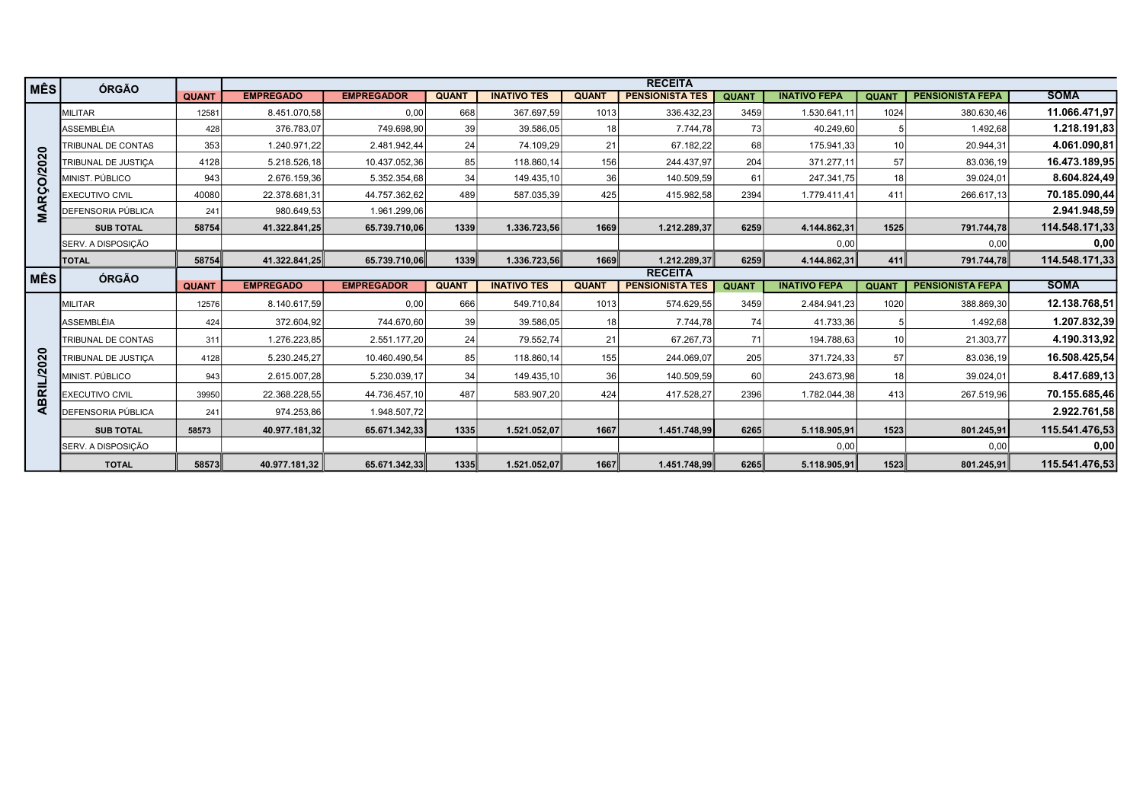| MÊS             | ÓRGÃO                     |              |                  |                   |              |                    |                 | <b>RECEITA</b>         |              |                     |                 |                         |                |
|-----------------|---------------------------|--------------|------------------|-------------------|--------------|--------------------|-----------------|------------------------|--------------|---------------------|-----------------|-------------------------|----------------|
|                 |                           | <b>QUANT</b> | <b>EMPREGADO</b> | <b>EMPREGADOR</b> | <b>QUANT</b> | <b>INATIVO TES</b> | <b>QUANT</b>    | <b>PENSIONISTA TES</b> | <b>QUANT</b> | <b>INATIVO FEPA</b> | <b>QUANT</b>    | <b>PENSIONISTA FEPA</b> | <b>SOMA</b>    |
|                 | MILITAR                   | 12581        | 8.451.070,58     | 0,00              | 668          | 367.697,59         | 1013            | 336.432,23             | 3459         | 1.530.641,11        | 1024            | 380.630,46              | 11.066.471,97  |
|                 | <b>ASSEMBLÉIA</b>         | 428          | 376.783,07       | 749.698,90        | 39           | 39.586,05          | 18              | 7.744,78               | 73           | 40.249,60           |                 | 1.492,68                | 1.218.191,83   |
|                 | TRIBUNAL DE CONTAS        | 353          | 1.240.971,22     | 2.481.942,44      | 24           | 74.109,29          | 21              | 67.182.22              | 68           | 175.941,33          | 10 <sup>1</sup> | 20.944.31               | 4.061.090,81   |
|                 | TRIBUNAL DE JUSTICA       | 4128         | 5.218.526,18     | 10.437.052,36     | 85           | 118.860,14         | 156             | 244.437,97             | 204          | 371.277,11          | 57              | 83.036,19               | 16.473.189,95  |
| <b>RÇO/2020</b> | MINIST, PÚBLICO           | 943          | 2.676.159,36     | 5.352.354,68      | 34           | 149.435,10         | 36              | 140.509,59             | 61           | 247.341,75          | 18 <sup>1</sup> | 39.024,01               | 8.604.824,49   |
|                 | <b>EXECUTIVO CIVIL</b>    | 40080        | 22.378.681,31    | 44.757.362,62     | 489          | 587.035,39         | 425             | 415.982,58             | 2394         | 1.779.411,41        | 411             | 266.617,13              | 70.185.090,44  |
| Σ               | DEFENSORIA PÚBLICA        | 241          | 980.649,53       | 1.961.299,06      |              |                    |                 |                        |              |                     |                 |                         | 2.941.948,59   |
|                 | <b>SUB TOTAL</b>          | 58754        | 41.322.841,25    | 65.739.710,06     | 1339         | 1.336.723,56       | 1669            | 1.212.289,37           | 6259         | 4.144.862,31        | 1525            | 791.744,78              | 114.548.171,33 |
|                 | SERV. A DISPOSIÇÃO        |              |                  |                   |              |                    |                 |                        |              | 0,00                |                 | 0,00                    | 0,00           |
|                 | <b>TOTAL</b>              | 58754        | 41.322.841,25    | 65.739.710,06     | 1339∥        | 1.336.723,56       | 1669            | 1.212.289.37           | 6259         | 4.144.862,31        | 411             | 791.744,78              | 114.548.171,33 |
| ∣ MÊS           | <b>ÓRGÃO</b>              |              |                  |                   |              |                    |                 | <b>RECEITA</b>         |              |                     |                 |                         |                |
|                 |                           | <b>QUANT</b> | <b>EMPREGADO</b> | <b>EMPREGADOR</b> | <b>QUANT</b> | <b>INATIVO TES</b> | <b>QUANT</b>    | <b>PENSIONISTA TES</b> | <b>QUANT</b> | <b>INATIVO FEPA</b> | <b>QUANT</b>    | <b>PENSIONISTA FEPA</b> | <b>SOMA</b>    |
|                 | <b>IMILITAR</b>           | 12576        | 8.140.617,59     | 0,00              | 666          | 549.710,84         | 1013            | 574.629,55             | 3459         | 2.484.941,23        | 1020            | 388.869,30              | 12.138.768,51  |
|                 | <b>ASSEMBLÉIA</b>         | 424          | 372.604,92       | 744.670,60        | 39           | 39.586,05          | 18 <sup>1</sup> | 7.744,78               | 74           | 41.733,36           |                 | 1.492,68                | 1.207.832,39   |
|                 | <b>TRIBUNAL DE CONTAS</b> | 311          | 1.276.223,85     | 2.551.177,20      | 24           | 79.552.74          | 21              | 67.267.73              | 71           | 194.788,63          | 10 l            | 21.303,77               | 4.190.313,92   |
| 2020            | TRIBUNAL DE JUSTICA       | 4128         | 5.230.245,27     | 10.460.490,54     | 85           | 118.860,14         | 155             | 244.069,07             | 205          | 371.724,33          | 57              | 83.036,19               | 16.508.425,54  |
|                 | MINIST, PÚBLICO           | 943          | 2.615.007,28     | 5.230.039,17      | 34           | 149.435,10         | 36 <sup>1</sup> | 140.509,59             | 60           | 243.673,98          | 18 <sup>1</sup> | 39.024,01               | 8.417.689,13   |
| ABRIL           | <b>EXECUTIVO CIVIL</b>    | 39950        | 22.368.228,55    | 44.736.457,10     | 487          | 583.907,20         | 424             | 417.528,27             | 2396         | 1.782.044,38        | 413             | 267.519,96              | 70.155.685,46  |
|                 | DEFENSORIA PÚBLICA        | 241          | 974.253,86       | 1.948.507,72      |              |                    |                 |                        |              |                     |                 |                         | 2.922.761,58   |
|                 | <b>SUB TOTAL</b>          | 58573        | 40.977.181,32    | 65.671.342,33     | 1335         | 1.521.052.07       | 1667            | 1.451.748,99           | 6265         | 5.118.905,91        | 1523            | 801.245,91              | 115.541.476,53 |
|                 | SERV. A DISPOSIÇÃO        |              |                  |                   |              |                    |                 |                        |              | 0,00                |                 | 0,00                    | 0,00           |
|                 | <b>TOTAL</b>              | 58573        | 40.977.181.32    | 65.671.342.33     | 1335         | 1.521.052.07       | 1667∥           | 1.451.748,99           | 6265         | 5.118.905,91        | 1523            | 801.245,91              | 115.541.476,53 |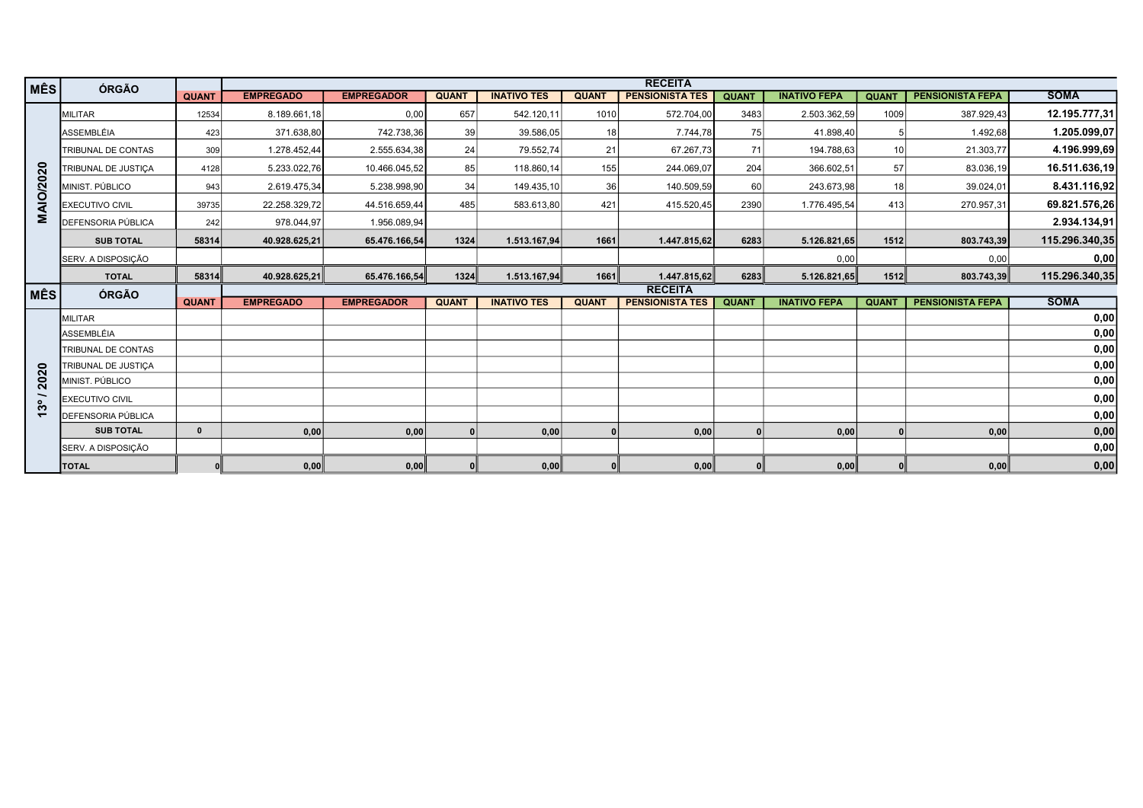| <b>MÊS</b>       | <b>ÓRGÃO</b>              |              |                  |                   |              |                    |              | <b>RECEITA</b>         |              |                     |              |                         |                |
|------------------|---------------------------|--------------|------------------|-------------------|--------------|--------------------|--------------|------------------------|--------------|---------------------|--------------|-------------------------|----------------|
|                  |                           | <b>QUANT</b> | <b>EMPREGADO</b> | <b>EMPREGADOR</b> | <b>QUANT</b> | <b>INATIVO TES</b> | <b>QUANT</b> | <b>PENSIONISTA TES</b> | <b>QUANT</b> | <b>INATIVO FEPA</b> | <b>QUANT</b> | <b>PENSIONISTA FEPA</b> | <b>SOMA</b>    |
|                  | MILITAR                   | 12534        | 8.189.661,18     | 0,00              | 657          | 542.120,11         | 1010         | 572.704,00             | 3483         | 2.503.362,59        | 1009         | 387.929,43              | 12.195.777,31  |
|                  | ASSEMBLÉIA                | 423          | 371.638,80       | 742.738,36        | 39           | 39.586,05          | 18           | 7.744,78               | 75           | 41.898,40           |              | 1.492.68                | 1.205.099,07   |
|                  | TRIBUNAL DE CONTAS        | 309          | 1.278.452,44     | 2.555.634,38      | 24           | 79.552,74          | 21           | 67.267,73              | 71           | 194.788,63          | 10           | 21.303,77               | 4.196.999,69   |
|                  | TRIBUNAL DE JUSTICA       | 4128         | 5.233.022,76     | 10.466.045,52     | 85           | 118.860,14         | 155          | 244.069,07             | 204          | 366.602,51          | 57           | 83.036,19               | 16.511.636,19  |
| <b>MAIO/2020</b> | MINIST. PÚBLICO           | 943          | 2.619.475,34     | 5.238.998,90      | 34           | 149.435,10         | 36           | 140.509,59             | 60           | 243.673,98          | -18          | 39.024.01               | 8.431.116,92   |
|                  | <b>EXECUTIVO CIVIL</b>    | 39735        | 22.258.329,72    | 44.516.659,44     | 485          | 583.613,80         | 421          | 415.520,45             | 2390         | 1.776.495,54        | 413          | 270.957,31              | 69.821.576,26  |
|                  | <b>DEFENSORIA PÚBLICA</b> | 242          | 978.044,97       | 1.956.089,94      |              |                    |              |                        |              |                     |              |                         | 2.934.134,91   |
|                  | <b>SUB TOTAL</b>          | 58314        | 40.928.625,21    | 65.476.166,54     | 1324         | 1.513.167,94       | 1661         | 1.447.815,62           | 6283         | 5.126.821,65        | 1512         | 803.743,39              | 115.296.340,35 |
|                  | SERV. A DISPOSIÇÃO        |              |                  |                   |              |                    |              |                        |              | 0,00                |              | 0,00                    | 0,00           |
|                  | <b>TOTAL</b>              | 58314        | 40.928.625,21    | 65.476.166,54     | 1324∥        | 1.513.167,94       | 1661         | 1.447.815,62           | 6283         | 5.126.821,65        | 1512         | 803.743,39              | 115.296.340,35 |
| MÊS              | ÓRGÃO                     |              |                  |                   |              |                    |              | <b>RECEITA</b>         |              |                     |              |                         |                |
|                  |                           | <b>QUANT</b> | <b>EMPREGADO</b> | <b>EMPREGADOR</b> | <b>QUANT</b> | <b>INATIVO TES</b> | <b>QUANT</b> | <b>PENSIONISTA TES</b> | <b>QUANT</b> | <b>INATIVO FEPA</b> | <b>QUANT</b> | <b>PENSIONISTA FEPA</b> | <b>SOMA</b>    |
|                  | MILITAR                   |              |                  |                   |              |                    |              |                        |              |                     |              |                         | 0,00           |
|                  | ASSEMBLÉIA                |              |                  |                   |              |                    |              |                        |              |                     |              |                         | 0,00           |
|                  | TRIBUNAL DE CONTAS        |              |                  |                   |              |                    |              |                        |              |                     |              |                         | 0,00           |
|                  | TRIBUNAL DE JUSTICA       |              |                  |                   |              |                    |              |                        |              |                     |              |                         | 0,00           |
| 2020             | MINIST. PÚBLICO           |              |                  |                   |              |                    |              |                        |              |                     |              |                         | 0,00           |
| ္က               | <b>EXECUTIVO CIVIL</b>    |              |                  |                   |              |                    |              |                        |              |                     |              |                         | 0,00           |
| $\overline{ }$   | <b>DEFENSORIA PÚBLICA</b> |              |                  |                   |              |                    |              |                        |              |                     |              |                         | 0,00           |
|                  | <b>SUB TOTAL</b>          | $\mathbf{0}$ | 0,00             | 0,00              | $\Omega$     | 0,00               | 0            | 0,00                   | $\Omega$     | 0,00                |              | 0,00                    | 0,00           |
|                  | SERV. A DISPOSIÇÃO        |              |                  |                   |              |                    |              |                        |              |                     |              |                         | 0,00           |
|                  | <b>TOTAL</b>              |              | 0,00             | 0,00              |              | 0,00               |              | 0,00                   | 0            | 0,00                |              | 0,00                    | 0,00           |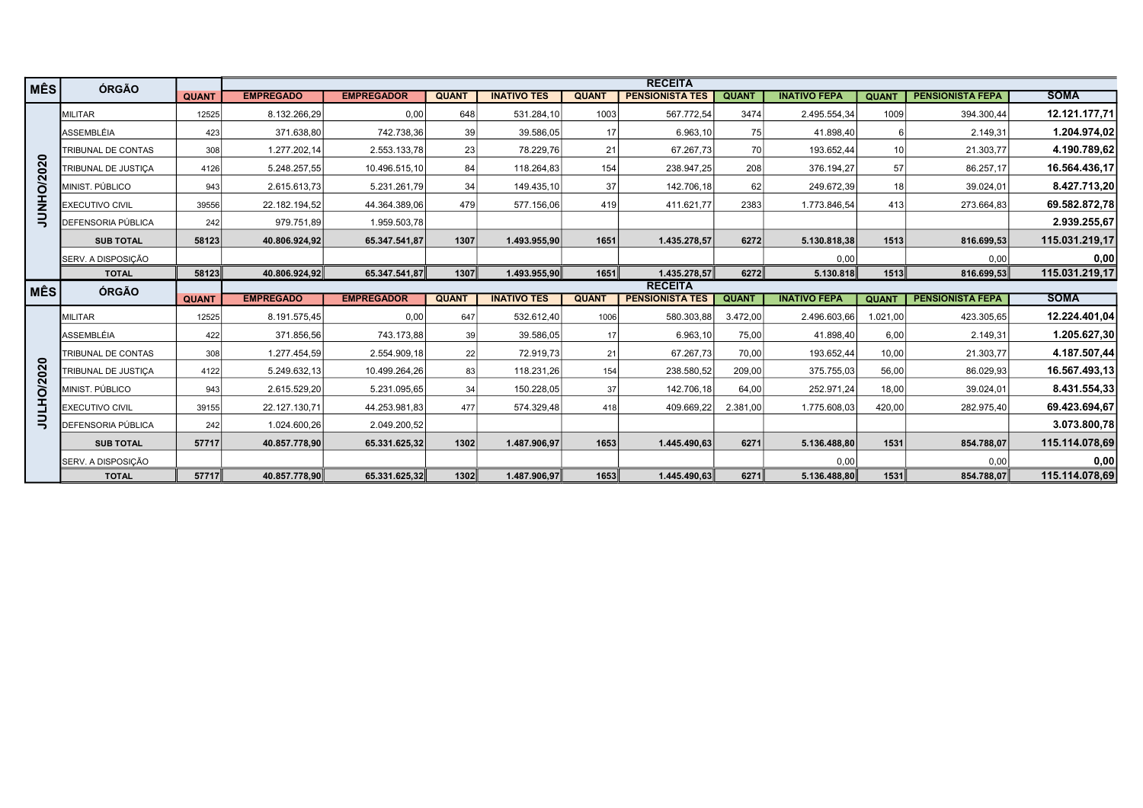| MÊS           | ÓRGÃO                     |              |                  |                   |              |                    |              | <b>RECEITA</b>         |              |                     |                 |                         |                                |
|---------------|---------------------------|--------------|------------------|-------------------|--------------|--------------------|--------------|------------------------|--------------|---------------------|-----------------|-------------------------|--------------------------------|
|               |                           | <b>QUANT</b> | <b>EMPREGADO</b> | <b>EMPREGADOR</b> | <b>QUANT</b> | <b>INATIVO TES</b> | <b>QUANT</b> | <b>PENSIONISTA TES</b> | <b>QUANT</b> | <b>INATIVO FEPA</b> | <b>QUANT</b>    | <b>PENSIONISTA FEPA</b> | <b>SOMA</b>                    |
|               | <b>IMILITAR</b>           | 12525        | 8.132.266,29     | 0,00              | 648          | 531.284,10         | 1003         | 567.772,54             | 3474         | 2.495.554,34        | 1009            | 394.300,44              | 12.121.177,71                  |
|               | <b>ASSEMBLÉIA</b>         | 423          | 371.638,80       | 742.738,36        | 39           | 39.586,05          | 17           | 6.963,10               | 75           | 41.898,40           |                 | 2.149,31                | 1.204.974,02                   |
|               | <b>TRIBUNAL DE CONTAS</b> | 308          | 1.277.202,14     | 2.553.133,78      | 23           | 78.229.76          | 21           | 67.267.73              | 70           | 193.652.44          | 10 <sup>1</sup> | 21.303,77               | 4.190.789,62                   |
|               | TRIBUNAL DE JUSTICA       | 4126         | 5.248.257,55     | 10.496.515,10     | 84           | 118.264,83         | 154          | 238.947,25             | 208          | 376.194,27          | 57              | 86.257,17               | 16.564.436,17                  |
| NHO/2020      | MINIST. PÚBLICO           | 943          | 2.615.613,73     | 5.231.261,79      | 34           | 149.435,10         | 37           | 142.706,18             | 62           | 249.672,39          | 18 <sup>1</sup> | 39.024,01               | 8.427.713,20                   |
|               | <b>EXECUTIVO CIVIL</b>    | 39556        | 22.182.194,52    | 44.364.389,06     | 479          | 577.156,06         | 419          | 411.621,77             | 2383         | 1.773.846,54        | 413             | 273.664,83              | 69.582.872,78                  |
| $\Xi$         | <b>DEFENSORIA PÚBLICA</b> | 242          | 979.751,89       | 1.959.503,78      |              |                    |              |                        |              |                     |                 |                         | 2.939.255,67                   |
|               | <b>SUB TOTAL</b>          | 58123        | 40.806.924.92    | 65.347.541,87     | 1307         | 1.493.955.90       | 1651         | 1.435.278,57           | 6272         | 5.130.818,38        | 1513            | 816.699,53              | 115.031.219,17                 |
|               | SERV. A DISPOSIÇÃO        |              |                  |                   |              |                    |              |                        |              | 0,00                |                 | 0,00                    | 0,00                           |
|               | <b>TOTAL</b>              | 58123        | 40.806.924,92    | 65.347.541,87     | 1307         | 1.493.955,90       | 1651         | 1.435.278,57           | 6272         | 5.130.818           | 1513            | 816.699,53              | 115.031.219,17                 |
|               |                           |              |                  |                   |              |                    |              |                        |              |                     |                 |                         |                                |
|               |                           |              |                  |                   |              |                    |              | <b>RECEITA</b>         |              |                     |                 |                         |                                |
| MÊS           | ÓRGÃO                     | <b>QUANT</b> | <b>EMPREGADO</b> | <b>EMPREGADOR</b> | <b>QUANT</b> | <b>INATIVO TES</b> | <b>QUANT</b> | <b>PENSIONISTA TES</b> | <b>QUANT</b> | <b>INATIVO FEPA</b> | <b>QUANT</b>    | <b>PENSIONISTA FEPA</b> | <b>SOMA</b>                    |
|               | <b>IMILITAR</b>           | 12525        | 8.191.575,45     | 0,00              | 647          | 532.612,40         | 1006         | 580.303,88             | 3.472,00     | 2.496.603.66        | 1.021.00        | 423.305,65              |                                |
|               | <b>ASSEMBLÉIA</b>         | 422          | 371.856,56       | 743.173,88        | 39           | 39.586,05          | 17           | 6.963,10               | 75,00        | 41.898,40           | 6,00            | 2.149,31                | 12.224.401,04<br>1.205.627,30  |
|               | TRIBUNAL DE CONTAS        | 308          | 1.277.454,59     | 2.554.909,18      | 22           | 72.919,73          | 21           | 67.267,73              | 70,00        | 193.652,44          | 10,00           | 21.303,77               | 4.187.507,44                   |
|               | TRIBUNAL DE JUSTICA       | 4122         | 5.249.632,13     | 10.499.264,26     | 83           | 118.231,26         | 154          | 238.580,52             | 209,00       | 375.755,03          | 56,00           | 86.029,93               | 16.567.493,13                  |
| O/2020        | MINIST, PÚBLICO           | 943          | 2.615.529,20     | 5.231.095,65      | 34           | 150.228,05         | 37           | 142.706,18             | 64,00        | 252.971,24          | 18,00           | 39.024,01               | 8.431.554,33                   |
| 舌             | <b>EXECUTIVO CIVIL</b>    | 39155        | 22.127.130,71    | 44.253.981,83     | 477          | 574.329,48         | 418          | 409.669,22             | 2.381,00     | 1.775.608,03        | 420,00          | 282.975,40              | 69.423.694,67                  |
| $\Rightarrow$ | <b>DEFENSORIA PÚBLICA</b> | 242          | 1.024.600,26     | 2.049.200,52      |              |                    |              |                        |              |                     |                 |                         |                                |
|               | <b>SUB TOTAL</b>          | 57717        | 40.857.778,90    | 65.331.625,32     | 1302         | 1.487.906,97       | 1653         | 1.445.490,63           | 6271         | 5.136.488,80        | 1531            | 854.788,07              | 3.073.800,78<br>115.114.078,69 |
|               | <b>SERV. A DISPOSIÇÃO</b> |              |                  |                   |              |                    |              |                        |              | 0,00                |                 | 0,00                    | 0,00                           |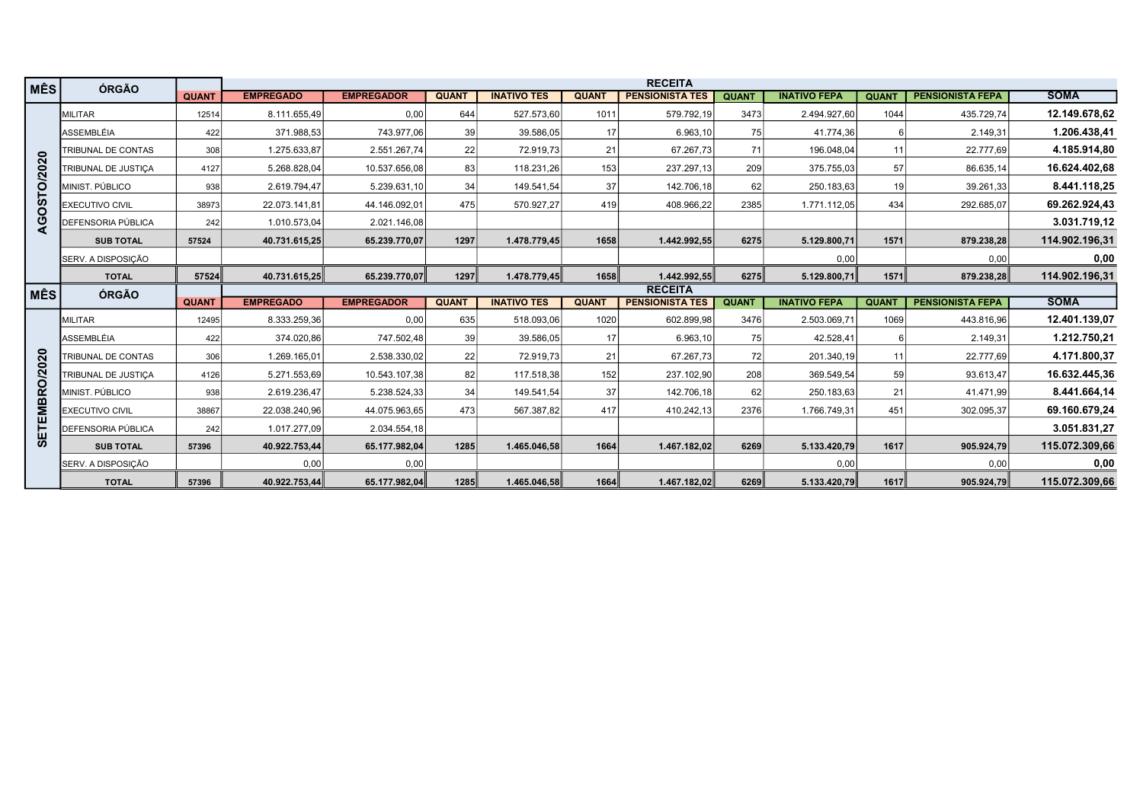| MÊS            | ÓRGÃO                  | <b>QUANT</b> | <b>EMPREGADO</b> | <b>EMPREGADOR</b> | <b>QUANT</b> | <b>INATIVO TES</b> | <b>QUANT</b> | <b>RECEITA</b><br><b>PENSIONISTA TES</b> | <b>QUANT</b> | <b>INATIVO FEPA</b> | <b>QUANT</b> | <b>PENSIONISTA FEPA</b> | <b>SOMA</b>    |
|----------------|------------------------|--------------|------------------|-------------------|--------------|--------------------|--------------|------------------------------------------|--------------|---------------------|--------------|-------------------------|----------------|
|                | <b>MILITAR</b>         | 12514        | 8.111.655,49     | 0,00              | 644          | 527.573,60         | 1011         | 579.792,19                               | 3473         | 2.494.927,60        | 1044         | 435.729,74              | 12.149.678.62  |
|                | ASSEMBLÉIA             | 422          | 371.988,53       | 743.977,06        | 39           | 39.586,05          | 17           | 6.963,10                                 | 75           | 41.774,36           | 6            | 2.149,31                | 1.206.438,41   |
|                | TRIBUNAL DE CONTAS     | 308          | 1.275.633,87     | 2.551.267,74      | 22           | 72.919,73          | 21           | 67.267,73                                | 71           | 196.048,04          | 11           | 22.777,69               | 4.185.914,80   |
|                | TRIBUNAL DE JUSTIÇA    | 4127         | 5.268.828,04     | 10.537.656,08     | 83           | 118.231,26         | 153          | 237.297,13                               | 209          | 375.755,03          | 57           | 86.635,14               | 16.624.402,68  |
| AGOSTO/2020    | MINIST. PÚBLICO        | 938          | 2.619.794,47     | 5.239.631,10      | 34           | 149.541,54         | 37           | 142.706,18                               | 62           | 250.183,63          | 19           | 39.261,33               | 8.441.118,25   |
|                | <b>EXECUTIVO CIVIL</b> | 38973        | 22.073.141,81    | 44.146.092,01     | 475          | 570.927,27         | 419          | 408.966,22                               | 2385         | 1.771.112,05        | 434          | 292.685,07              | 69.262.924,43  |
|                | DEFENSORIA PÚBLICA     | 242          | 1.010.573,04     | 2.021.146,08      |              |                    |              |                                          |              |                     |              |                         | 3.031.719,12   |
|                | <b>SUB TOTAL</b>       | 57524        | 40.731.615,25    | 65.239.770,07     | 1297         | 1.478.779,45       | 1658         | 1.442.992,55                             | 6275         | 5.129.800,71        | 1571         | 879.238,28              | 114.902.196,31 |
|                | SERV. A DISPOSIÇÃO     |              |                  |                   |              |                    |              |                                          |              | 0,00                |              | 0,00                    | 0,00           |
|                | <b>TOTAL</b>           | 57524        | 40.731.615,25    | 65.239.770,07     | 1297         | 1.478.779,45       | 1658         | 1.442.992,55                             | 6275         | 5.129.800,71        | 1571         | 879.238,28              | 114.902.196,31 |
| ∣ MÊS          | <b>ÓRGÃO</b>           | <b>QUANT</b> | <b>EMPREGADO</b> | <b>EMPREGADOR</b> | <b>QUANT</b> | <b>INATIVO TES</b> | <b>QUANT</b> | <b>RECEITA</b><br><b>PENSIONISTA TES</b> | <b>QUANT</b> | <b>INATIVO FEPA</b> | <b>QUANT</b> | <b>PENSIONISTA FEPA</b> | <b>SOMA</b>    |
|                | <b>MILITAR</b>         | 12495        | 8.333.259,36     | 0,00              | 635          | 518.093,06         | 1020         | 602.899,98                               | 3476         | 2.503.069,71        | 1069         | 443.816,96              | 12.401.139,07  |
|                | ASSEMBLÉIA             | 422          | 374.020,86       | 747.502,48        | 39           | 39.586,05          | 17           | 6.963,10                                 | 75           | 42.528,41           | 6            | 2.149,31                | 1.212.750,21   |
|                | TRIBUNAL DE CONTAS     | 306          | 1.269.165,01     | 2.538.330,02      | 22           | 72.919,73          | 21           | 67.267,73                                | 72           | 201.340,19          | 11           | 22.777,69               | 4.171.800,37   |
|                | TRIBUNAL DE JUSTIÇA    | 4126         | 5.271.553,69     | 10.543.107,38     | 82           | 117.518,38         | 152          | 237.102,90                               | 208          | 369.549,54          | 59           | 93.613,47               | 16.632.445,36  |
|                | MINIST. PÚBLICO        | 938          | 2.619.236,47     | 5.238.524,33      | 34           | 149.541,54         | 37           | 142.706,18                               | 62           | 250.183,63          | 21           | 41.471,99               | 8.441.664,14   |
| ETEMBRO/2020   | <b>EXECUTIVO CIVIL</b> | 38867        | 22.038.240,96    | 44.075.963,65     | 473          | 567.387,82         | 417          | 410.242,13                               | 2376         | 1.766.749,31        | 451          | 302.095,37              | 69.160.679,24  |
|                | DEFENSORIA PÚBLICA     | 242          | 1.017.277,09     | 2.034.554,18      |              |                    |              |                                          |              |                     |              |                         | 3.051.831,27   |
| $\overline{v}$ | <b>SUB TOTAL</b>       | 57396        | 40.922.753,44    | 65.177.982,04     | 1285         | 1.465.046,58       | 1664         | 1.467.182,02                             | 6269         | 5.133.420,79        | 1617         | 905.924,79              | 115.072.309,66 |
|                | SERV. A DISPOSIÇÃO     |              | 0,00             | 0,00              |              |                    |              |                                          |              | 0,00                |              | 0,00                    | 0,00           |
|                | <b>TOTAL</b>           | 57396        | 40.922.753,44    | 65.177.982,04     | 1285         | 1.465.046,58       | 1664         | 1.467.182,02                             | 6269         | 5.133.420,79        | 1617         | 905.924,79              | 115.072.309,66 |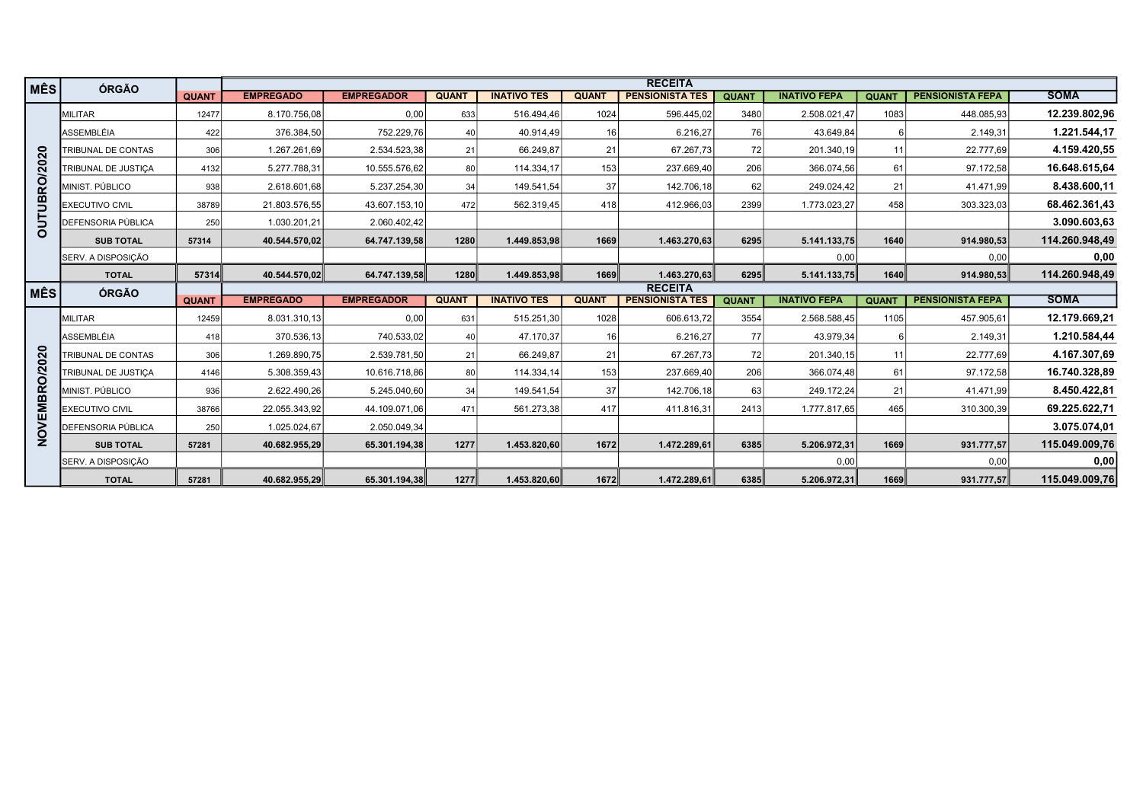| MÊS           | ÓRGÃO                      |              |                  |                   |              |                    |              | <b>RECEITA</b>         |              |                     |              |                         |                |
|---------------|----------------------------|--------------|------------------|-------------------|--------------|--------------------|--------------|------------------------|--------------|---------------------|--------------|-------------------------|----------------|
|               |                            | <b>QUANT</b> | <b>EMPREGADO</b> | <b>EMPREGADOR</b> | <b>QUANT</b> | <b>INATIVO TES</b> | <b>QUANT</b> | <b>PENSIONISTA TES</b> | <b>QUANT</b> | <b>INATIVO FEPA</b> | <b>QUANT</b> | <b>PENSIONISTA FEPA</b> | <b>SOMA</b>    |
|               | <b>IMILITAR</b>            | 12477        | 8.170.756,08     | 0,00              | 633          | 516.494,46         | 1024         | 596.445,02             | 3480         | 2.508.021,47        | 1083         | 448.085,93              | 12.239.802,96  |
|               | <b>ASSEMBLÉIA</b>          | 422          | 376.384,50       | 752.229,76        | 40           | 40.914,49          | 16           | 6.216,27               | 76           | 43.649,84           | 6            | 2.149,31                | 1.221.544,17   |
|               | TRIBUNAL DE CONTAS         | 306          | 1.267.261,69     | 2.534.523,38      | 21           | 66.249,87          | 21           | 67.267,73              | 72           | 201.340,19          | 11 I         | 22.777,69               | 4.159.420,55   |
|               | TRIBUNAL DE JUSTICA        | 4132         | 5.277.788,31     | 10.555.576,62     | 80           | 114.334,17         | 153          | 237.669,40             | 206          | 366.074,56          | 61           | 97.172,58               | 16.648.615,64  |
| OUTUBRO/2020  | MINIST. PÚBLICO            | 938          | 2.618.601,68     | 5.237.254,30      | 34           | 149.541,54         | 37           | 142.706,18             | 62           | 249.024,42          | 21           | 41.471,99               | 8.438.600,11   |
|               | <b>EXECUTIVO CIVIL</b>     | 38789        | 21.803.576,55    | 43.607.153,10     | 472          | 562.319,45         | 418          | 412.966,03             | 2399         | 1.773.023,27        | 458          | 303.323,03              | 68.462.361,43  |
|               | <b>IDEFENSORIA PÚBLICA</b> | 250          | 1.030.201,21     | 2.060.402,42      |              |                    |              |                        |              |                     |              |                         | 3.090.603,63   |
|               | <b>SUB TOTAL</b>           | 57314        | 40.544.570.02    | 64.747.139,58     | 1280         | 1.449.853.98       | 1669         | 1.463.270,63           | 6295         | 5.141.133,75        | 1640         | 914.980,53              | 114.260.948,49 |
|               | <b>SERV. A DISPOSIÇÃO</b>  |              |                  |                   |              |                    |              |                        |              | 0,00                |              | 0,00                    | 0,00           |
|               | <b>TOTAL</b>               | 57314        | 40.544.570.02    | 64.747.139.58     | 1280         | 1.449.853.98       | 1669         | 1.463.270.63           | 6295         | 5.141.133,75        | 1640         | 914.980,53              | 114.260.948.49 |
| MÊS           | ÓRGÃO                      |              |                  |                   |              |                    |              | <b>RECEITA</b>         |              |                     |              |                         |                |
|               |                            |              |                  |                   |              |                    |              |                        |              |                     |              |                         |                |
|               |                            | <b>QUANT</b> | <b>EMPREGADO</b> | <b>EMPREGADOR</b> | <b>QUANT</b> | <b>INATIVO TES</b> | <b>QUANT</b> | <b>PENSIONISTA TES</b> | <b>QUANT</b> | <b>INATIVO FEPA</b> | <b>QUANT</b> | <b>PENSIONISTA FEPA</b> | <b>SOMA</b>    |
|               | <b>MILITAR</b>             | 12459        | 8.031.310,13     | 0,00              | 631          | 515.251,30         | 1028         | 606.613,72             | 3554         | 2.568.588,45        | 1105         | 457.905,61              | 12.179.669,21  |
|               | ASSEMBLÉIA                 | 418          | 370.536,13       | 740.533,02        | 40           | 47.170,37          | 16           | 6.216,27               | <b>77</b>    | 43.979,34           |              | 2.149,31                | 1.210.584,44   |
|               | TRIBUNAL DE CONTAS         | 306          | 1.269.890,75     | 2.539.781,50      | 21           | 66.249.87          | 21           | 67.267.73              | 72           | 201.340,15          | 11           | 22.777.69               | 4.167.307,69   |
|               | TRIBUNAL DE JUSTICA        | 4146         | 5.308.359,43     | 10.616.718,86     | 80           | 114.334,14         | 153          | 237.669,40             | 206          | 366.074,48          | 61           | 97.172,58               | 16.740.328,89  |
|               | MINIST. PÚBLICO            | 936          | 2.622.490,26     | 5.245.040,60      | 34           | 149.541,54         | 37           | 142.706,18             | 63           | 249.172,24          | 21           | 41.471,99               | 8.450.422,81   |
|               | <b>EXECUTIVO CIVIL</b>     | 38766        | 22.055.343,92    | 44.109.071,06     | 471          | 561.273,38         | 417          | 411.816,31             | 2413         | 1.777.817,65        | 465          | 310.300,39              | 69.225.622,71  |
|               | <b>DEFENSORIA PÚBLICA</b>  | 250          | 1.025.024,67     | 2.050.049,34      |              |                    |              |                        |              |                     |              |                         | 3.075.074,01   |
| NOVEMBRO/2020 | <b>SUB TOTAL</b>           | 57281        | 40.682.955,29    | 65.301.194,38     | 1277         | 1.453.820,60       | 1672         | 1.472.289,61           | 6385         | 5.206.972,31        | 1669         | 931.777,57              | 115.049.009,76 |
|               | SERV. A DISPOSIÇÃO         |              |                  |                   |              |                    |              |                        |              | 0,00                |              | 0,00                    | 0,00           |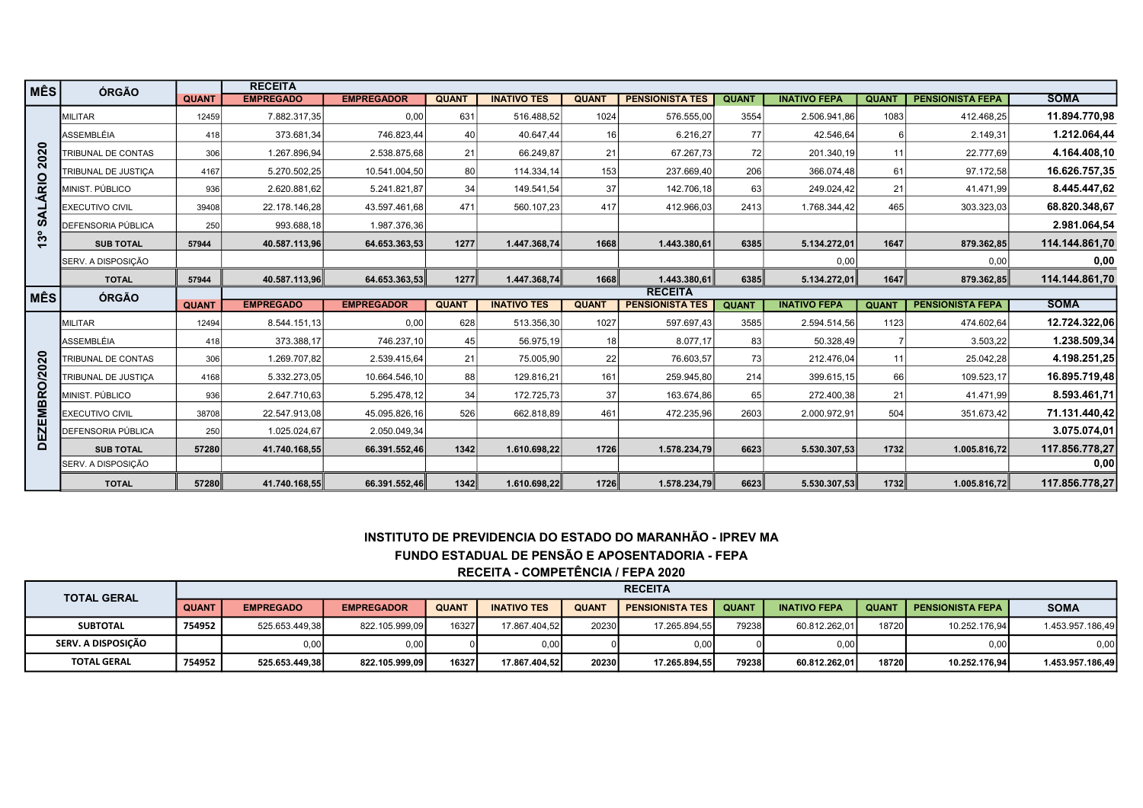| MÊS.                    | ÓRGÃO                  |              | <b>RECEITA</b>   |                   |              |                                   |              |                                                                                                              |              |                     |              |                         |                  |
|-------------------------|------------------------|--------------|------------------|-------------------|--------------|-----------------------------------|--------------|--------------------------------------------------------------------------------------------------------------|--------------|---------------------|--------------|-------------------------|------------------|
|                         |                        | <b>QUANT</b> | <b>EMPREGADO</b> | <b>EMPREGADOR</b> | <b>QUANT</b> | <b>INATIVO TES</b>                | <b>QUANT</b> | <b>PENSIONISTA TES</b>                                                                                       | <b>QUANT</b> | <b>INATIVO FEPA</b> | <b>QUANT</b> | <b>PENSIONISTA FEPA</b> | <b>SOMA</b>      |
|                         | MILITAR                | 12459        | 7.882.317,35     | 0,00              | 631          | 516.488,52                        | 1024         | 576.555,00                                                                                                   | 3554         | 2.506.941,86        | 1083         | 412.468,25              | 11.894.770,98    |
|                         | ASSEMBLÉIA             | 418          | 373.681,34       | 746.823,44        | 40           | 40.647,44                         | 16           | 6.216,27                                                                                                     | 77           | 42.546.64           | 6            | 2.149,31                | 1.212.064,44     |
| 2020                    | TRIBUNAL DE CONTAS     | 306          | 1.267.896,94     | 2.538.875,68      | 21           | 66.249.87                         | 21           | 67.267,73                                                                                                    | 72           | 201.340,19          | 11           | 22.777,69               | 4.164.408.10     |
|                         | TRIBUNAL DE JUSTICA    | 4167         | 5.270.502,25     | 10.541.004,50     | 80           | 114.334,14                        | 153          | 237.669,40                                                                                                   | 206          | 366.074,48          | 61           | 97.172,58               | 16.626.757.35    |
| RIO                     | MINIST. PÚBLICO        | 936          | 2.620.881,62     | 5.241.821,87      | 34           | 149.541,54                        | 37           | 142.706,18                                                                                                   | 63           | 249.024,42          | 21           | 41.471,99               | 8.445.447,62     |
| ₹                       | <b>EXECUTIVO CIVIL</b> | 39408        | 22.178.146,28    | 43.597.461,68     | 471          | 560.107,23                        | 417          | 412.966,03                                                                                                   | 2413         | 1.768.344,42        | 465          | 303.323,03              | 68.820.348,67    |
| ဖာ                      | DEFENSORIA PÚBLICA     | 250          | 993.688,18       | 1.987.376,36      |              |                                   |              |                                                                                                              |              |                     |              |                         | 2.981.064.54     |
| ೢ                       | <b>SUB TOTAL</b>       | 57944        | 40.587.113,96    | 64.653.363,53     | 1277         | 1.447.368,74                      | 1668         | 1.443.380,61                                                                                                 | 6385         | 5.134.272,01        | 1647         | 879.362,85              | 114.144.861,70   |
|                         | SERV. A DISPOSIÇÃO     |              |                  |                   |              |                                   |              |                                                                                                              |              | 0,00                |              | 0,00                    | 0,00             |
|                         | <b>TOTAL</b>           | 57944        | 40.587.113,96    | 64.653.363,53     | 1277         | 1.447.368,74                      | 1668         | 1.443.380,61                                                                                                 | 6385         | 5.134.272,01        | 1647         | 879.362,85              | 114.144.861,70   |
| ∣ MÊS                   | <b>ÓRGÃO</b>           |              |                  |                   |              |                                   |              | <b>RECEITA</b>                                                                                               |              |                     |              |                         |                  |
|                         |                        | <b>QUANT</b> | <b>EMPREGADO</b> | <b>EMPREGADOR</b> | <b>QUANT</b> | <b>INATIVO TES</b>                | <b>QUANT</b> | <b>PENSIONISTA TES</b>                                                                                       | <b>QUANT</b> | <b>INATIVO FEPA</b> | <b>QUANT</b> | <b>PENSIONISTA FEPA</b> | <b>SOMA</b>      |
|                         | <b>MILITAR</b>         | 12494        | 8.544.151,13     | 0,00              | 628          | 513.356,30                        | 1027         | 597.697,43                                                                                                   | 3585         | 2.594.514,56        | 1123         | 474.602,64              | 12.724.322,06    |
|                         | ASSEMBLÉIA             | 418          | 373.388,17       | 746.237,10        | 45           | 56.975,19                         | 18           | 8.077,17                                                                                                     | 83           | 50.328,49           |              | 3.503,22                | 1.238.509,34     |
|                         | TRIBUNAL DE CONTAS     | 306          | 1.269.707,82     | 2.539.415,64      | 21           | 75.005,90                         | 22           | 76.603,57                                                                                                    | 73           | 212.476,04          | 11           | 25.042,28               | 4.198.251,25     |
| RO/2020                 | TRIBUNAL DE JUSTICA    | 4168         | 5.332.273,05     | 10.664.546,10     | 88           | 129.816,21                        | 161          | 259.945,80                                                                                                   | 214          | 399.615,15          | 66           | 109.523,17              | 16.895.719,48    |
|                         | MINIST. PÚBLICO        | 936          | 2.647.710,63     | 5.295.478,12      | 34           | 172.725,73                        | 37           | 163.674,86                                                                                                   | 65           | 272.400,38          | 21           | 41.471,99               | 8.593.461.71     |
| EMBI                    | <b>EXECUTIVO CIVIL</b> | 38708        | 22.547.913,08    | 45.095.826,16     | 526          | 662.818,89                        | 461          | 472.235,96                                                                                                   | 2603         | 2.000.972,91        | 504          | 351.673,42              | 71.131.440,42    |
| $\overline{\mathbf{z}}$ | DEFENSORIA PÚBLICA     | 250          | 1.025.024,67     | 2.050.049,34      |              |                                   |              |                                                                                                              |              |                     |              |                         | 3.075.074,01     |
| $\overline{\mathbf{a}}$ | <b>SUB TOTAL</b>       | 57280        | 41.740.168,55    | 66.391.552,46     | 1342         | 1.610.698,22                      | 1726         | 1.578.234,79                                                                                                 | 6623         | 5.530.307,53        | 1732         | 1.005.816,72            | 117.856.778,27   |
|                         | SERV. A DISPOSIÇÃO     |              |                  |                   |              |                                   |              |                                                                                                              |              |                     |              |                         | 0,00             |
|                         | <b>TOTAL</b>           | 57280        | 41.740.168,55    | 66.391.552.46     | 1342         | 1.610.698,22                      | 1726         | 1.578.234,79                                                                                                 | 6623         | 5.530.307,53        | 1732         | 1.005.816,72            | 117.856.778,27   |
|                         |                        |              |                  |                   |              | RECEITA - COMPETÊNCIA / FEPA 2020 |              | INSTITUTO DE PREVIDENCIA DO ESTADO DO MARANHÃO - IPREV MA<br>FUNDO ESTADUAL DE PENSÃO E APOSENTADORIA - FEPA |              |                     |              |                         |                  |
|                         | <b>TOTAL GERAL</b>     |              |                  |                   |              |                                   |              | <b>RECEITA</b>                                                                                               |              |                     |              |                         |                  |
|                         |                        | <b>QUANT</b> | <b>EMPREGADO</b> | <b>EMPREGADOR</b> | <b>QUANT</b> | <b>INATIVO TES</b>                | <b>QUANT</b> | <b>PENSIONISTA TES</b>                                                                                       | <b>QUANT</b> | <b>INATIVO FEPA</b> | <b>QUANT</b> | <b>PENSIONISTA FEPA</b> | <b>SOMA</b>      |
|                         | <b>SUBTOTAL</b>        | 754952       | 525.653.449,38   | 822.105.999,09    | 16327        | 17.867.404,52                     | 20230        | 17.265.894,55                                                                                                | 79238        | 60.812.262,01       | 18720        | 10.252.176,94           | 1.453.957.186,49 |
|                         | SERV. A DISPOSIÇÃO     |              | 0,00             | 0,00              | $\Omega$     | 0,00                              |              | 0,00                                                                                                         |              | 0,00                |              | 0,00                    | 0,00             |
|                         | <b>TOTAL GERAL</b>     | 754952       | 525.653.449,38   | 822.105.999,09    | 16327        | 17.867.404,52                     | 20230        | 17.265.894,55                                                                                                | 79238        | 60.812.262,01       | 18720        | 10.252.176,94           | 1.453.957.186,49 |

## INSTITUTO DE PREVIDENCIA DO ESTADO DO MARANHÃO - IPREV MA FUNDO ESTADUAL DE PENSÃO E APOSENTADORIA - FEPA RECEITA - COMPETÊNCIA / FEPA 2020

| <b>TOTAL GERAL</b> |              |                  |                   |              |                    |              | <b>RECEITA</b>         |              |                     |                |                         |                  |
|--------------------|--------------|------------------|-------------------|--------------|--------------------|--------------|------------------------|--------------|---------------------|----------------|-------------------------|------------------|
|                    | <b>QUANT</b> | <b>EMPREGADO</b> | <b>EMPREGADOR</b> | <b>QUANT</b> | <b>INATIVO TES</b> | <b>QUANT</b> | <b>PENSIONISTA TES</b> | <b>QUANT</b> | <b>INATIVO FEPA</b> | <b>QUANT</b>   | <b>PENSIONISTA FEPA</b> | <b>SOMA</b>      |
| <b>SUBTOTAL</b>    | 754952       | 525.653.449.38   | 822.105.999.09    | 16327        | 17.867.404.52      | 20230        | 17.265.894.55          | 79238        | 60.812.262.01       | 18720          | 10.252.176.94           | 1.453.957.186.49 |
| SERV. A DISPOSICÃO |              | 0.00             | 0,00              |              | 0.00               |              | 0,00                   |              | 0,00                |                | 0.00                    | 0,00             |
| <b>TOTAL GERAL</b> | 754952       | 525.653.449.38   | 822.105.999.09    | 16327        | 17.867.404.52      | 20230        | 17.265.894.55          | 79238        | 60.812.262.01       | 18720 <b>1</b> | 10.252.176.94           | 1.453.957.186,49 |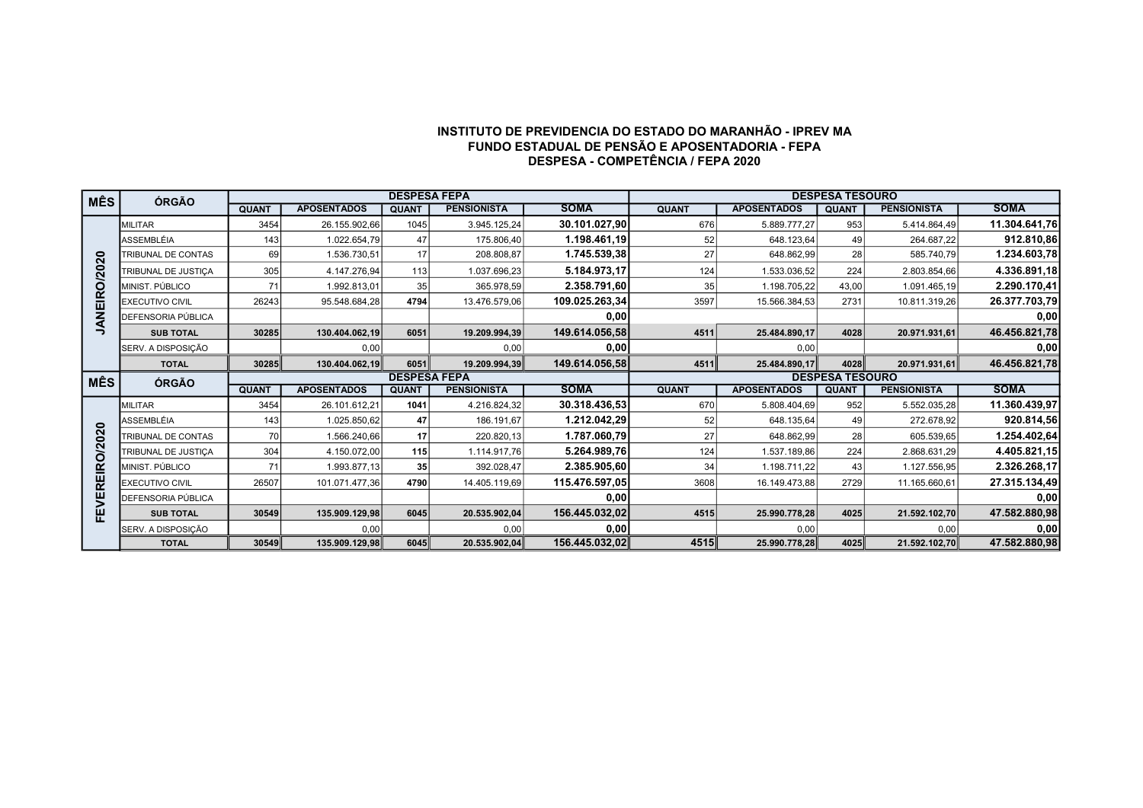## INSTITUTO DE PREVIDENCIA DO ESTADO DO MARANHÃO - IPREV MA FUNDO ESTADUAL DE PENSÃO E APOSENTADORIA - FEPA DESPESA - COMPETÊNCIA / FEPA 2020

| <b>MÊS</b>    | ÓRGÃO                  |              |                    | <b>DESPESA FEPA</b> |                    |                |              |                    | <b>DESPESA TESOURO</b> |                    |               |
|---------------|------------------------|--------------|--------------------|---------------------|--------------------|----------------|--------------|--------------------|------------------------|--------------------|---------------|
|               |                        | <b>QUANT</b> | <b>APOSENTADOS</b> | <b>QUANT</b>        | <b>PENSIONISTA</b> | <b>SOMA</b>    | <b>QUANT</b> | <b>APOSENTADOS</b> | <b>QUANT</b>           | <b>PENSIONISTA</b> | <b>SOMA</b>   |
|               | <b>MILITAR</b>         | 3454         | 26.155.902,66      | 1045                | 3.945.125,24       | 30.101.027,90  | 676          | 5.889.777.27       | 953                    | 5.414.864,49       | 11.304.641,76 |
|               | ASSEMBLÉIA             | 143          | 1.022.654,79       | 47                  | 175.806,40         | 1.198.461,19   | 52           | 648.123.64         | 49                     | 264.687,22         | 912.810,86    |
|               | TRIBUNAL DE CONTAS     | 69           | 1.536.730,51       | 17                  | 208.808,87         | 1.745.539,38   | 27           | 648.862,99         | 28                     | 585.740,79         | 1.234.603,78  |
|               | TRIBUNAL DE JUSTIÇA    | 305          | 4.147.276,94       | 113                 | 1.037.696,23       | 5.184.973,17   | 124          | 1.533.036,52       | 224                    | 2.803.854,66       | 4.336.891,18  |
| ANEIRO/2020   | MINIST, PÚBLICO        | 71           | 1.992.813,01       | 35                  | 365.978,59         | 2.358.791,60   | 35           | 1.198.705,22       | 43,00                  | 1.091.465,19       | 2.290.170,41  |
|               | <b>EXECUTIVO CIVIL</b> | 26243        | 95.548.684,28      | 4794                | 13.476.579,06      | 109.025.263,34 | 3597         | 15.566.384,53      | 2731                   | 10.811.319,26      | 26.377.703,79 |
|               | DEFENSORIA PÚBLICA     |              |                    |                     |                    | 0,00           |              |                    |                        |                    | 0,00          |
| ⇒             | <b>SUB TOTAL</b>       | 30285        | 130.404.062,19     | 6051                | 19.209.994.39      | 149.614.056,58 | 4511         | 25.484.890,17      | 4028                   | 20.971.931.61      | 46.456.821,78 |
|               | SERV. A DISPOSIÇÃO     |              | 0,00               |                     | 0,00               | 0,00           |              | 0,00               |                        |                    | 0,00          |
|               | <b>TOTAL</b>           | 30285        | 130.404.062.19     | 6051                | 19.209.994,39      | 149.614.056,58 | 4511         | 25.484.890.17      | 4028                   | 20.971.931.61      | 46.456.821,78 |
| <b>MÊS</b>    | ÓRGÃO                  |              |                    | <b>DESPESA FEPA</b> |                    |                |              |                    | <b>DESPESA TESOURO</b> |                    |               |
|               |                        | <b>QUANT</b> | <b>APOSENTADOS</b> | <b>QUANT</b>        | <b>PENSIONISTA</b> | <b>SOMA</b>    | <b>QUANT</b> | <b>APOSENTADOS</b> | <b>QUANT</b>           | <b>PENSIONISTA</b> | <b>SOMA</b>   |
|               | <b>MILITAR</b>         | 3454         | 26.101.612,21      | 1041                | 4.216.824,32       | 30.318.436,53  | 670          | 5.808.404,69       | 952                    | 5.552.035,28       | 11.360.439,97 |
| $\bullet$     | <b>ASSEMBLÉIA</b>      | 143          | 1.025.850,62       | 47                  | 186.191,67         | 1.212.042,29   | 52           | 648.135,64         | 49                     | 272.678,92         | 920.814,56    |
|               | TRIBUNAL DE CONTAS     | 70           | 1.566.240,66       | 17                  | 220.820,13         | 1.787.060.79   | 27           | 648.862,99         | 28                     | 605.539,65         | 1.254.402,64  |
|               | TRIBUNAL DE JUSTICA    | 304          | 4.150.072,00       | 115                 | 1.114.917,76       | 5.264.989.76   | 124          | 1.537.189,86       | 224                    | 2.868.631,29       | 4.405.821,15  |
|               | MINIST, PÚBLICO        | 71           | 1.993.877,13       | 35                  | 392.028,47         | 2.385.905,60   | 34           | 1.198.711,22       | 43                     | 1.127.556,95       | 2.326.268,17  |
|               | <b>EXECUTIVO CIVIL</b> | 26507        | 101.071.477,36     | 4790                | 14.405.119,69      | 115.476.597,05 | 3608         | 16.149.473,88      | 2729                   | 11.165.660,61      | 27.315.134,49 |
| FEVEREIRO/202 | DEFENSORIA PÚBLICA     |              |                    |                     |                    | 0,00           |              |                    |                        |                    | 0,00          |
|               |                        |              | 135.909.129,98     | 6045                | 20.535.902,04      | 156.445.032,02 | 4515         | 25.990.778,28      | 4025                   | 21.592.102,70      | 47.582.880,98 |
|               | <b>SUB TOTAL</b>       | 30549        |                    |                     |                    |                |              |                    |                        |                    |               |
|               | SERV. A DISPOSIÇÃO     |              | 0,00               |                     | 0,00               | 0,00           |              | 0,00               |                        | 0,00               | 0,00          |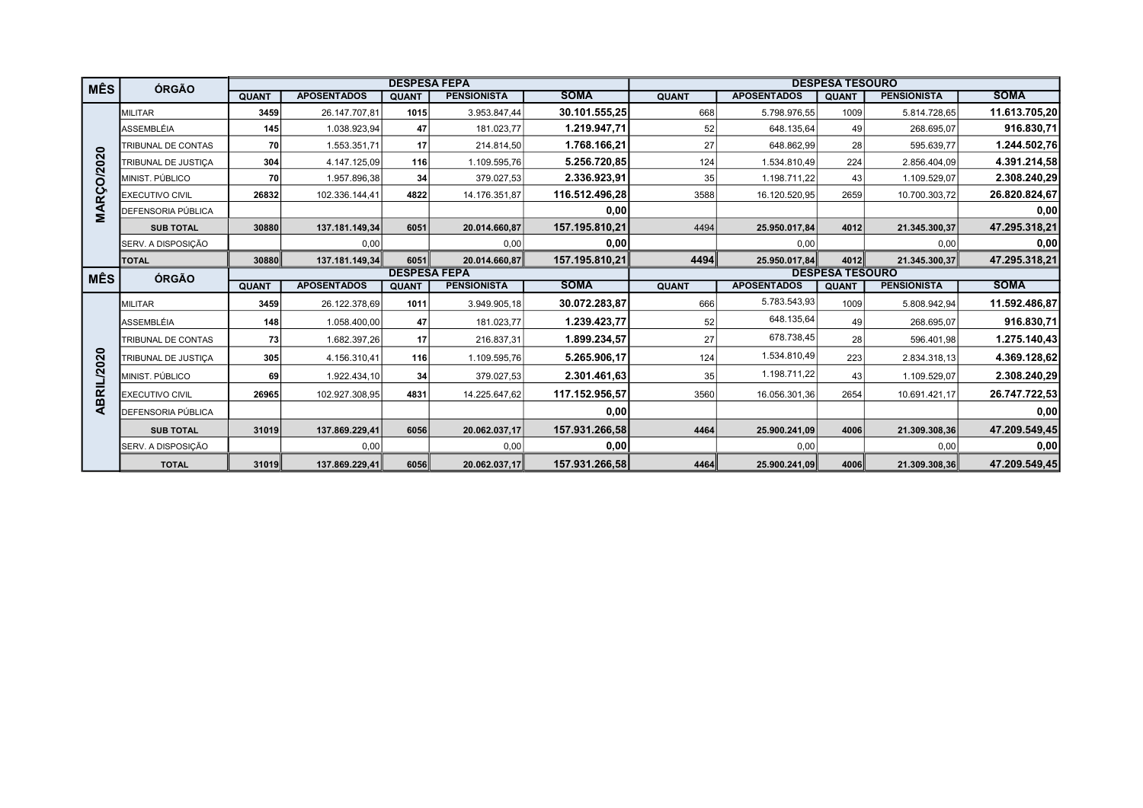| <b>MÊS</b>        | ÓRGÃO                       |              |                    |                     | <b>DESPESA FEPA</b> |                |              |                    | <b>DESPESA TESOURO</b> |                    |               |
|-------------------|-----------------------------|--------------|--------------------|---------------------|---------------------|----------------|--------------|--------------------|------------------------|--------------------|---------------|
|                   |                             | <b>QUANT</b> | <b>APOSENTADOS</b> | <b>QUANT</b>        | <b>PENSIONISTA</b>  | <b>SOMA</b>    | <b>QUANT</b> | <b>APOSENTADOS</b> | <b>QUANT</b>           | <b>PENSIONISTA</b> | <b>SOMA</b>   |
|                   | <b>MILITAR</b>              | 3459         | 26.147.707.81      | 1015                | 3.953.847.44        | 30.101.555.25  | 668          | 5.798.976.55       | 1009                   | 5.814.728,65       | 11.613.705,20 |
|                   | ASSEMBLÉIA                  | 145          | 1.038.923,94       | 47                  | 181.023,77          | 1.219.947,71   | 52           | 648.135,64         | 49                     | 268.695,07         | 916.830,71    |
|                   | TRIBUNAL DE CONTAS          | 70           | 1.553.351,71       | 17                  | 214.814,50          | 1.768.166,21   | 27           | 648.862,99         | 28                     | 595.639,77         | 1.244.502,76  |
|                   | TRIBUNAL DE JUSTICA         | 304          | 4.147.125,09       | 116                 | 1.109.595,76        | 5.256.720.85   | 124          | 1.534.810,49       | 224                    | 2.856.404,09       | 4.391.214,58  |
|                   | MINIST. PÚBLICO             | 70           | 1.957.896,38       | 34                  | 379.027,53          | 2.336.923,91   | 35           | 1.198.711,22       | 43                     | 1.109.529,07       | 2.308.240,29  |
| <b>MARÇO/2020</b> | <b>EXECUTIVO CIVIL</b>      | 26832        | 102.336.144,41     | 4822                | 14.176.351,87       | 116.512.496,28 | 3588         | 16.120.520,95      | 2659                   | 10.700.303,72      | 26.820.824,67 |
|                   | <b>DEFENSORIA PÚBLICA</b>   |              |                    |                     |                     | 0,00           |              |                    |                        |                    | 0,00          |
|                   | <b>SUB TOTAL</b>            | 30880        | 137.181.149.34     | 6051                | 20.014.660.87       | 157.195.810.21 | 4494         | 25.950.017.84      | 4012                   | 21.345.300,37      | 47.295.318,21 |
|                   | SERV. A DISPOSIÇÃO          |              | 0,00               |                     | 0,00                | 0,00           |              | 0,00               |                        | 0,00               | 0,00          |
|                   | <b>TOTAL</b>                | 30880        | 137.181.149,34     | 6051                | 20.014.660.87       | 157.195.810.21 | 4494         | 25.950.017,84      | 4012                   | 21.345.300,37      | 47.295.318,21 |
| <b>MÊS</b>        | <b>ÓRGÃO</b>                |              |                    | <b>DESPESA FEPA</b> |                     |                |              |                    | <b>DESPESA TESOURO</b> |                    |               |
|                   |                             | <b>QUANT</b> | <b>APOSENTADOS</b> | <b>QUANT</b>        | <b>PENSIONISTA</b>  | <b>SOMA</b>    | <b>QUANT</b> | <b>APOSENTADOS</b> | <b>QUANT</b>           | <b>PENSIONISTA</b> | <b>SOMA</b>   |
|                   | <b>MILITAR</b>              | 3459         | 26.122.378,69      | 1011                | 3.949.905,18        | 30.072.283,87  | 666          | 5.783.543,93       | 1009                   | 5.808.942,94       | 11.592.486,87 |
|                   | ASSEMBLÉIA                  | 148          | 1.058.400,00       | 47                  | 181.023,77          | 1.239.423,77   | 52           | 648.135,64         | 49                     | 268.695,07         | 916.830,71    |
|                   | TRIBUNAL DE CONTAS          | 73           | 1.682.397,26       | 17 <sup>1</sup>     | 216.837,31          | 1.899.234.57   | 27           | 678.738,45         | 28                     | 596.401,98         | 1.275.140,43  |
|                   | TRIBUNAL DE JUSTICA         | 305          | 4.156.310,41       | 116                 | 1.109.595,76        | 5.265.906,17   | 124          | 1.534.810,49       | 223                    | 2.834.318,13       | 4.369.128,62  |
| ABRIL/2020        | MINIST, PÚBLICO             | 69           | 1.922.434,10       | 34                  | 379.027,53          | 2.301.461.63   | 35           | 1.198.711,22       | 43                     | 1.109.529,07       | 2.308.240,29  |
|                   | <b>EXECUTIVO CIVIL</b>      | 26965        | 102.927.308,95     | 4831                | 14.225.647,62       | 117.152.956,57 | 3560         | 16.056.301,36      | 2654                   | 10.691.421,17      | 26.747.722,53 |
|                   | <b>I</b> DEFENSORIA PÚBLICA |              |                    |                     |                     | 0,00           |              |                    |                        |                    | 0,00          |
|                   | <b>SUB TOTAL</b>            | 31019        | 137.869.229,41     | 6056                | 20.062.037,17       | 157.931.266,58 | 4464         | 25.900.241,09      | 4006                   | 21.309.308,36      | 47.209.549,45 |
|                   | SERV. A DISPOSIÇÃO          |              | 0,00               |                     | 0,00                | 0,00           |              | 0,00               |                        | 0,00               | 0,00          |
|                   | <b>TOTAL</b>                | 31019        | 137.869.229,41     | 6056                | 20.062.037,17       | 157.931.266,58 | 4464         | 25.900.241,09      | 4006                   | 21.309.308,36      | 47.209.549,45 |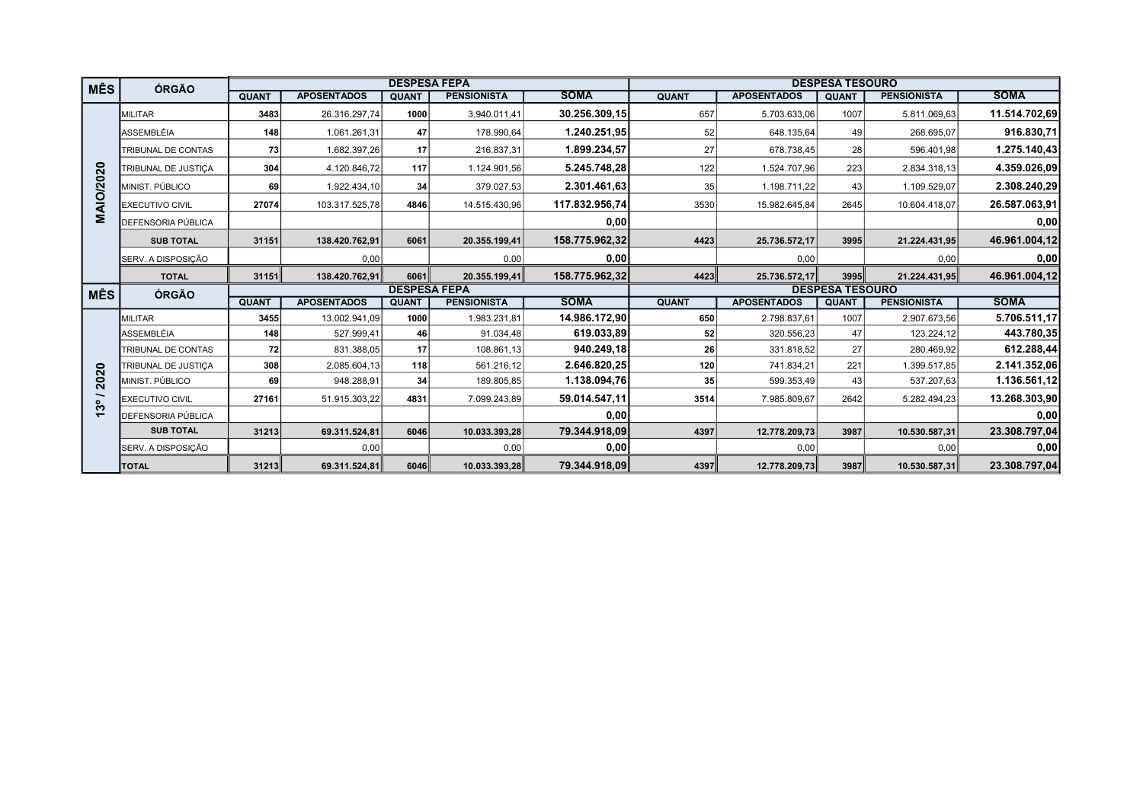| <b>MÊS</b>                    | ÓRGÃO                  |              |                    |                     | <b>DESPESA FEPA</b> |                |              |                    | <b>DESPESA TESOURO</b> |                    |               |
|-------------------------------|------------------------|--------------|--------------------|---------------------|---------------------|----------------|--------------|--------------------|------------------------|--------------------|---------------|
|                               |                        | <b>QUANT</b> | <b>APOSENTADOS</b> | <b>QUANT</b>        | <b>PENSIONISTA</b>  | <b>SOMA</b>    | <b>QUANT</b> | <b>APOSENTADOS</b> | <b>QUANT</b>           | <b>PENSIONISTA</b> | <b>SOMA</b>   |
|                               | <b>MILITAR</b>         | 3483         | 26.316.297,74      | 1000                | 3.940.011,41        | 30.256.309,15  | 657          | 5.703.633,06       | 1007                   | 5.811.069,63       | 11.514.702,69 |
|                               | ASSEMBLÉIA             | 148          | 1.061.261,31       | 47                  | 178.990,64          | 1.240.251.95   | 52           | 648.135,64         | 49                     | 268.695,07         | 916.830,71    |
|                               | TRIBUNAL DE CONTAS     | 73           | 1.682.397,26       | 17                  | 216.837,31          | 1.899.234,57   | 27           | 678.738,45         | 28                     | 596.401,98         | 1.275.140,43  |
|                               | TRIBUNAL DE JUSTICA    | 304          | 4.120.846,72       | 117                 | 1.124.901,56        | 5.245.748,28   | 122          | 1.524.707,96       | 223                    | 2.834.318,13       | 4.359.026,09  |
|                               | MINIST, PÚBLICO        | 69           | 1.922.434,10       | 34                  | 379.027,53          | 2.301.461.63   | 35           | 1.198.711,22       | 43                     | 1.109.529,07       | 2.308.240,29  |
| <b>MAIO/2020</b>              | <b>EXECUTIVO CIVIL</b> | 27074        | 103.317.525,78     | 4846                | 14.515.430,96       | 117.832.956,74 | 3530         | 15.982.645,84      | 2645                   | 10.604.418,07      | 26.587.063,91 |
|                               | DEFENSORIA PÚBLICA     |              |                    |                     |                     | 0,00           |              |                    |                        |                    | 0,00          |
|                               | <b>SUB TOTAL</b>       | 31151        | 138.420.762,91     | 6061                | 20.355.199,41       | 158.775.962,32 | 4423         | 25.736.572,17      | 3995                   | 21.224.431,95      | 46.961.004,12 |
|                               | SERV. A DISPOSIÇÃO     |              | 0,00               |                     | 0,00                | 0,00           |              | 0,00               |                        | 0,00               | 0,00          |
|                               | <b>TOTAL</b>           | 31151        | 138.420.762,91     | 6061                | 20.355.199,41       | 158.775.962,32 | 4423         | 25.736.572,17      | 3995                   | 21.224.431,95      | 46.961.004,12 |
| <b>MÊS</b>                    | ÓRGÃO                  |              |                    | <b>DESPESA FEPA</b> |                     |                |              |                    | <b>DESPESA TESOURO</b> |                    |               |
|                               |                        | <b>QUANT</b> | <b>APOSENTADOS</b> | <b>QUANT</b>        | <b>PENSIONISTA</b>  | <b>SOMA</b>    | <b>QUANT</b> | <b>APOSENTADOS</b> | <b>QUANT</b>           | <b>PENSIONISTA</b> | <b>SOMA</b>   |
|                               | <b>MILITAR</b>         | 3455         | 13.002.941,09      | 1000                | 1.983.231,81        | 14.986.172,90  | 650          | 2.798.837,61       | 1007                   | 2.907.673,56       | 5.706.511,17  |
|                               | ASSEMBLÉIA             | 148          | 527.999,41         | 46                  | 91.034,48           | 619.033,89     | 52           | 320.556,23         | 47                     | 123.224,12         | 443.780,35    |
|                               | TRIBUNAL DE CONTAS     | 72           | 831.388,05         | 17                  | 108.861,13          | 940.249,18     | 26           | 331.818,52         | 27                     | 280.469,92         | 612.288,44    |
| $\overline{20}$               | TRIBUNAL DE JUSTICA    | 308          | 2.085.604,13       | 118                 | 561.216,12          | 2.646.820,25   | 120          | 741.834,21         | 221                    | 1.399.517,85       | 2.141.352,06  |
| $\overline{20}$               | MINIST. PÚBLICO        | 69           | 948.288,91         | 34                  | 189.805,85          | 1.138.094,76   | 35           | 599.353,49         | 43                     | 537.207,63         | 1.136.561,12  |
| $\overline{\phantom{0}}$<br>ೢ | <b>EXECUTIVO CIVIL</b> | 27161        | 51.915.303,22      | 4831                | 7.099.243,89        | 59.014.547,11  | 3514         | 7.985.809,67       | 2642                   | 5.282.494,23       | 13.268.303,90 |
| $\mathbf{\tau}$               | DEFENSORIA PÚBLICA     |              |                    |                     |                     | 0,00           |              |                    |                        |                    | 0,00          |
|                               | <b>SUB TOTAL</b>       | 31213        | 69.311.524,81      | 6046                | 10.033.393,28       | 79.344.918,09  | 4397         | 12.778.209,73      | 3987                   | 10.530.587,31      | 23.308.797,04 |
|                               | SERV. A DISPOSIÇÃO     |              | 0,00               |                     | 0,00                | 0,00           |              | 0,00               |                        | 0,00               | 0,00          |
|                               | <b>TOTAL</b>           | 31213        | 69.311.524,81      | 6046                | 10.033.393,28       | 79.344.918,09  | 4397         | 12.778.209,73      | 3987                   | 10.530.587,31      | 23.308.797,04 |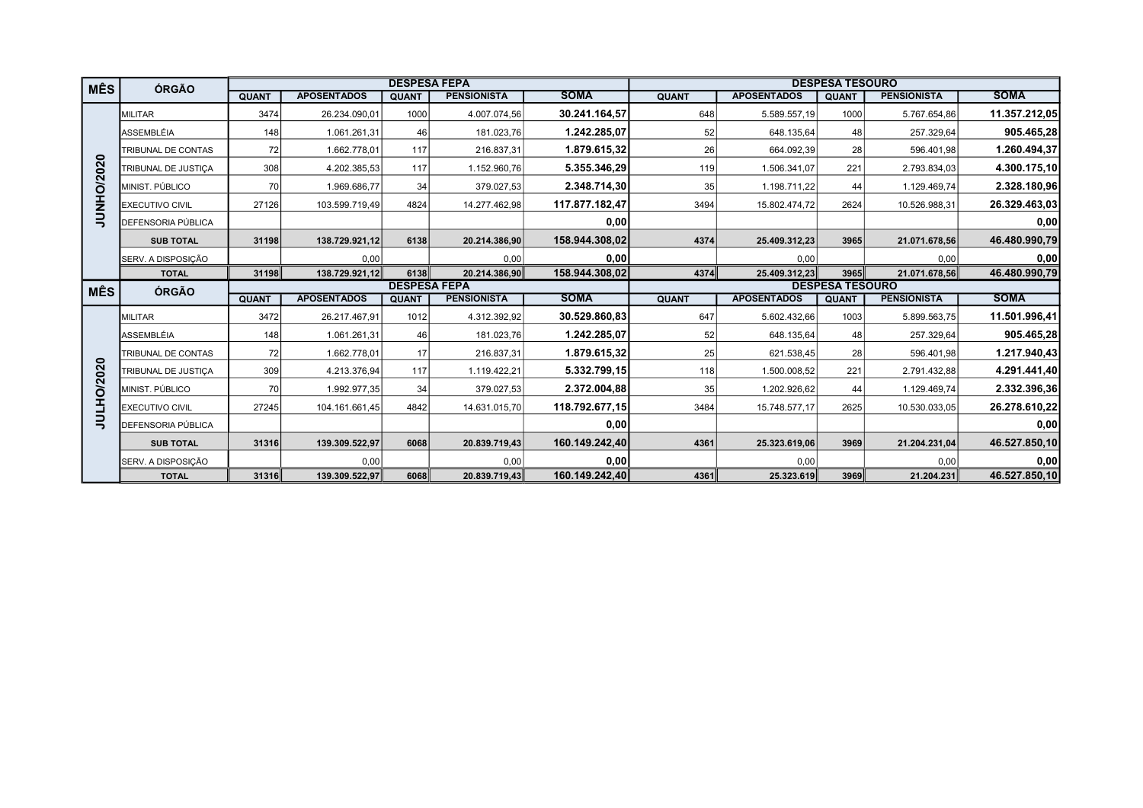| <b>MÊS</b> | ÓRGÃO                  |              |                    | <b>DESPESA FEPA</b> |                    |                |              |                    | <b>DESPESA TESOURO</b> |                    |                                            |
|------------|------------------------|--------------|--------------------|---------------------|--------------------|----------------|--------------|--------------------|------------------------|--------------------|--------------------------------------------|
|            |                        | <b>QUANT</b> | <b>APOSENTADOS</b> | <b>QUANT</b>        | <b>PENSIONISTA</b> | <b>SOMA</b>    | <b>QUANT</b> | <b>APOSENTADOS</b> | <b>QUANT</b>           | <b>PENSIONISTA</b> | <b>SOMA</b>                                |
|            | <b>MILITAR</b>         | 3474         | 26.234.090,01      | 1000                | 4.007.074,56       | 30.241.164,57  | 648          | 5.589.557,19       | 1000                   | 5.767.654,86       | 11.357.212,05                              |
|            | ASSEMBLÉIA             | 148          | 1.061.261,31       | 46                  | 181.023,76         | 1.242.285,07   | 52           | 648.135,64         | 48                     | 257.329,64         | 905.465,28                                 |
|            | TRIBUNAL DE CONTAS     | 72           | 1.662.778,01       | 117                 | 216.837,31         | 1.879.615,32   | 26           | 664.092,39         | 28                     | 596.401,98         | 1.260.494,37                               |
|            | TRIBUNAL DE JUSTIÇA    | 308          | 4.202.385,53       | 117                 | 1.152.960,76       | 5.355.346,29   | 119          | 1.506.341,07       | 221                    | 2.793.834,03       | 4.300.175,10                               |
| JUNHO/2020 | MINIST. PÚBLICO        | 70           | 1.969.686,77       | 34                  | 379.027,53         | 2.348.714,30   | 35           | 1.198.711,22       | 44                     | 1.129.469,74       | 2.328.180,96                               |
|            | <b>EXECUTIVO CIVIL</b> | 27126        | 103.599.719,49     | 4824                | 14.277.462,98      | 117.877.182,47 | 3494         | 15.802.474,72      | 2624                   | 10.526.988,31      | 26.329.463,03                              |
|            | DEFENSORIA PÚBLICA     |              |                    |                     |                    | 0,00           |              |                    |                        |                    | 0,00                                       |
|            | <b>SUB TOTAL</b>       | 31198        | 138.729.921,12     | 6138                | 20.214.386,90      | 158.944.308,02 | 4374         | 25.409.312,23      | 3965                   | 21.071.678,56      | 46.480.990,79                              |
|            | SERV. A DISPOSIÇÃO     |              | 0.00               |                     | 0.00               | 0,00           |              | 0,00               |                        | 0.00               | 0,00                                       |
|            | <b>TOTAL</b>           | 31198        | 138.729.921,12     | 6138                | 20.214.386,90      | 158.944.308,02 | 4374         | 25.409.312,23      | 3965                   | 21.071.678,56      | 46.480.990,79                              |
|            |                        |              |                    |                     |                    |                |              |                    |                        |                    |                                            |
|            |                        |              |                    | <b>DESPESA FEPA</b> |                    |                |              |                    | <b>DESPESA TESOURO</b> |                    |                                            |
| <b>MÊS</b> | ÓRGÃO                  | <b>QUANT</b> | <b>APOSENTADOS</b> | <b>QUANT</b>        | <b>PENSIONISTA</b> | <b>SOMA</b>    | <b>QUANT</b> | <b>APOSENTADOS</b> | <b>QUANT</b>           | <b>PENSIONISTA</b> | <b>SOMA</b>                                |
|            | <b>MILITAR</b>         | 3472         | 26.217.467,91      | 1012                | 4.312.392,92       | 30.529.860,83  | 647          | 5.602.432,66       | 1003                   | 5.899.563,75       | 11.501.996,41                              |
|            | ASSEMBLÉIA             | 148          | 1.061.261,31       | 46                  | 181.023,76         | 1.242.285,07   | 52           | 648.135,64         | 48                     | 257.329,64         |                                            |
|            | TRIBUNAL DE CONTAS     | 72           | 1.662.778,01       | 17                  | 216.837,31         | 1.879.615,32   | 25           | 621.538,45         | 28                     | 596.401,98         |                                            |
|            | TRIBUNAL DE JUSTICA    | 309          | 4.213.376,94       | 117                 | 1.119.422,21       | 5.332.799.15   | 118          | 1.500.008,52       | 221                    | 2.791.432,88       | 905.465,28<br>1.217.940,43<br>4.291.441,40 |
|            | MINIST. PÚBLICO        | 70           | 1.992.977,35       | 34                  | 379.027,53         | 2.372.004,88   | 35           | 1.202.926,62       | 44                     | 1.129.469,74       | 2.332.396,36                               |
|            | <b>EXECUTIVO CIVIL</b> | 27245        | 104.161.661,45     | 4842                | 14.631.015,70      | 118.792.677,15 | 3484         | 15.748.577,17      | 2625                   | 10.530.033,05      | 26.278.610,22                              |
| JULHO/2020 | DEFENSORIA PÚBLICA     |              |                    |                     |                    | 0,00           |              |                    |                        |                    | 0,00                                       |
|            | <b>SUB TOTAL</b>       | 31316        | 139.309.522.97     | 6068                | 20.839.719.43      | 160.149.242.40 | 4361         | 25.323.619,06      | 3969                   | 21.204.231.04      | 46.527.850,10                              |
|            | SERV. A DISPOSIÇÃO     |              | 0,00               |                     | 0,00               | 0,00           |              | 0,00               |                        | 0,00               | 0,00                                       |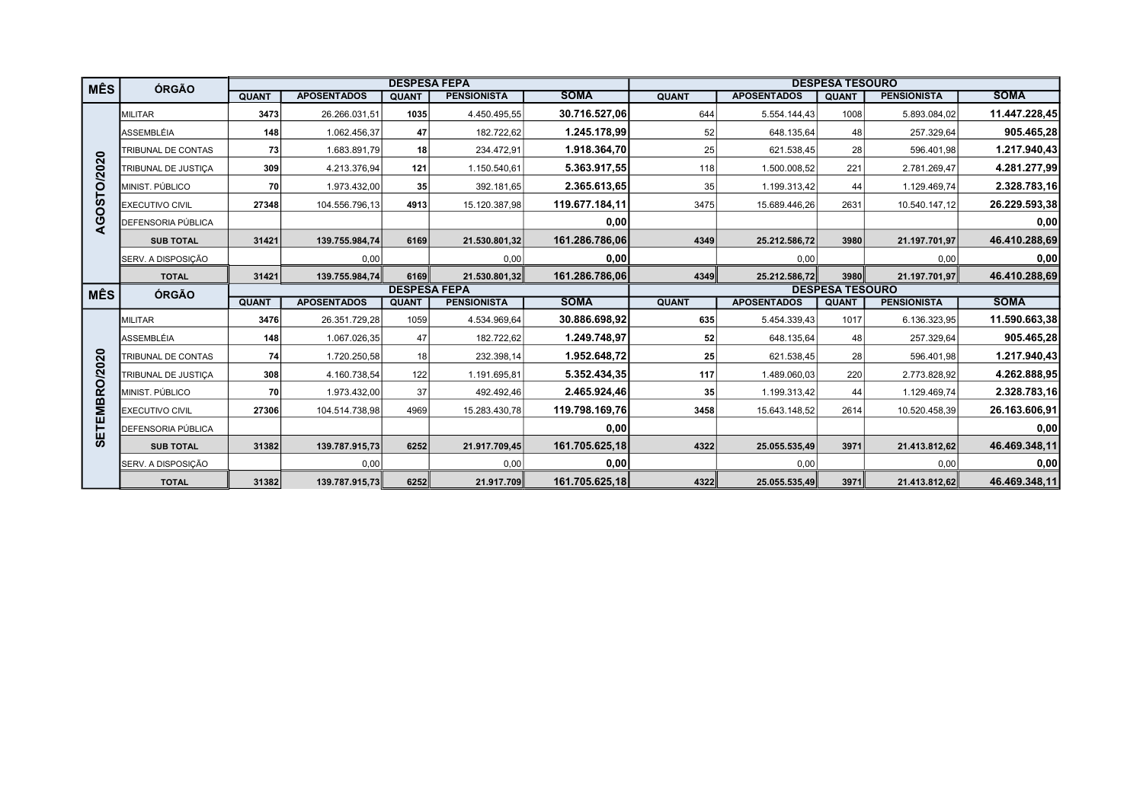| <b>MÊS</b>    | ÓRGÃO                     |                     |                    | <b>DESPESA FEPA</b> |                    |                | <b>DESPESA TESOURO</b> |                    |              |                    |               |  |
|---------------|---------------------------|---------------------|--------------------|---------------------|--------------------|----------------|------------------------|--------------------|--------------|--------------------|---------------|--|
|               |                           | <b>QUANT</b>        | <b>APOSENTADOS</b> | <b>QUANT</b>        | <b>PENSIONISTA</b> | <b>SOMA</b>    | <b>QUANT</b>           | <b>APOSENTADOS</b> | <b>QUANT</b> | <b>PENSIONISTA</b> | <b>SOMA</b>   |  |
|               | <b>IMILITAR</b>           | 3473                | 26.266.031,51      | 1035                | 4.450.495,55       | 30.716.527,06  | 644                    | 5.554.144,43       | 1008         | 5.893.084,02       | 11.447.228,45 |  |
|               | ASSEMBLÉIA                | 148                 | 1.062.456,37       | 47                  | 182.722,62         | 1.245.178,99   | 52                     | 648.135,64         | 48           | 257.329,64         | 905.465,28    |  |
|               | TRIBUNAL DE CONTAS        | 73                  | 1.683.891,79       | 18                  | 234.472,91         | 1.918.364,70   | 25                     | 621.538,45         | 28           | 596.401,98         | 1.217.940,43  |  |
|               | TRIBUNAL DE JUSTIÇA       | 309                 | 4.213.376,94       | 121                 | 1.150.540,61       | 5.363.917.55   | 118                    | 1.500.008,52       | 221          | 2.781.269,47       | 4.281.277,99  |  |
|               | MINIST. PÚBLICO           | 70                  | 1.973.432,00       | 35                  | 392.181,65         | 2.365.613,65   | 35                     | 1.199.313,42       | 44           | 1.129.469,74       | 2.328.783,16  |  |
|               | <b>EXECUTIVO CIVIL</b>    | 27348               | 104.556.796,13     | 4913                | 15.120.387,98      | 119.677.184,11 | 3475                   | 15.689.446,26      | 2631         | 10.540.147,12      | 26.229.593,38 |  |
| AGOSTO/2020   | <b>DEFENSORIA PÚBLICA</b> |                     |                    |                     |                    | 0,00           |                        |                    |              |                    | 0,00          |  |
|               | <b>SUB TOTAL</b>          | 31421               | 139.755.984,74     | 6169                | 21.530.801,32      | 161.286.786,06 | 4349                   | 25.212.586,72      | 3980         | 21.197.701,97      | 46.410.288,69 |  |
|               | SERV. A DISPOSIÇÃO        |                     | 0,00               |                     | 0,00               | 0,00           |                        | 0,00               |              | 0,00               | 0,00          |  |
|               | <b>TOTAL</b>              | 31421               | 139.755.984,74     | 6169                | 21.530.801,32      | 161.286.786,06 | 4349                   | 25.212.586,72      | 3980         | 21.197.701,97      | 46.410.288,69 |  |
| <b>MÊS</b>    | <b>ÓRGÃO</b>              | <b>DESPESA FEPA</b> |                    |                     |                    |                | <b>DESPESA TESOURO</b> |                    |              |                    |               |  |
|               |                           | <b>QUANT</b>        | <b>APOSENTADOS</b> | <b>QUANT</b>        | <b>PENSIONISTA</b> | <b>SOMA</b>    | <b>QUANT</b>           | <b>APOSENTADOS</b> | <b>QUANT</b> | <b>PENSIONISTA</b> | <b>SOMA</b>   |  |
|               | <b>MILITAR</b>            | 3476                | 26.351.729,28      | 1059                | 4.534.969,64       | 30.886.698,92  | 635                    | 5.454.339,43       | 1017         | 6.136.323,95       | 11.590.663,38 |  |
|               | ASSEMBLÉIA                | 148                 | 1.067.026,35       | 47                  | 182.722,62         | 1.249.748,97   | 52                     | 648.135,64         | 48           | 257.329,64         | 905.465,28    |  |
|               | TRIBUNAL DE CONTAS        | 74                  | 1.720.250,58       | 18                  | 232.398,14         | 1.952.648.72   | 25                     | 621.538,45         | 28           | 596.401,98         | 1.217.940,43  |  |
|               | TRIBUNAL DE JUSTICA       | 308                 | 4.160.738,54       | 122                 | 1.191.695,81       | 5.352.434.35   | 117                    | 1.489.060,03       | 220          | 2.773.828,92       | 4.262.888,95  |  |
|               | MINIST. PÚBLICO           | 70                  | 1.973.432,00       | 37                  | 492.492,46         | 2.465.924,46   | 35                     | 1.199.313,42       | 44           | 1.129.469,74       | 2.328.783,16  |  |
| SETEMBRO/2020 | <b>EXECUTIVO CIVIL</b>    | 27306               | 104.514.738,98     | 4969                | 15.283.430,78      | 119.798.169,76 | 3458                   | 15.643.148,52      | 2614         | 10.520.458,39      | 26.163.606,91 |  |
|               | DEFENSORIA PÚBLICA        |                     |                    |                     |                    | 0,00           |                        |                    |              |                    | 0,00          |  |
|               | <b>SUB TOTAL</b>          | 31382               | 139.787.915,73     | 6252                | 21.917.709,45      | 161.705.625,18 | 4322                   | 25.055.535,49      | 3971         | 21.413.812,62      | 46.469.348,11 |  |
|               | SERV. A DISPOSIÇÃO        |                     | 0,00               |                     | 0,00               | 0,00           |                        | 0,00               |              | 0,00               | 0,00          |  |
|               | <b>TOTAL</b>              | 31382               | 139.787.915,73     | 6252                | 21.917.709         | 161.705.625,18 | 4322                   | 25.055.535,49      | 3971         | 21.413.812,62      | 46.469.348,11 |  |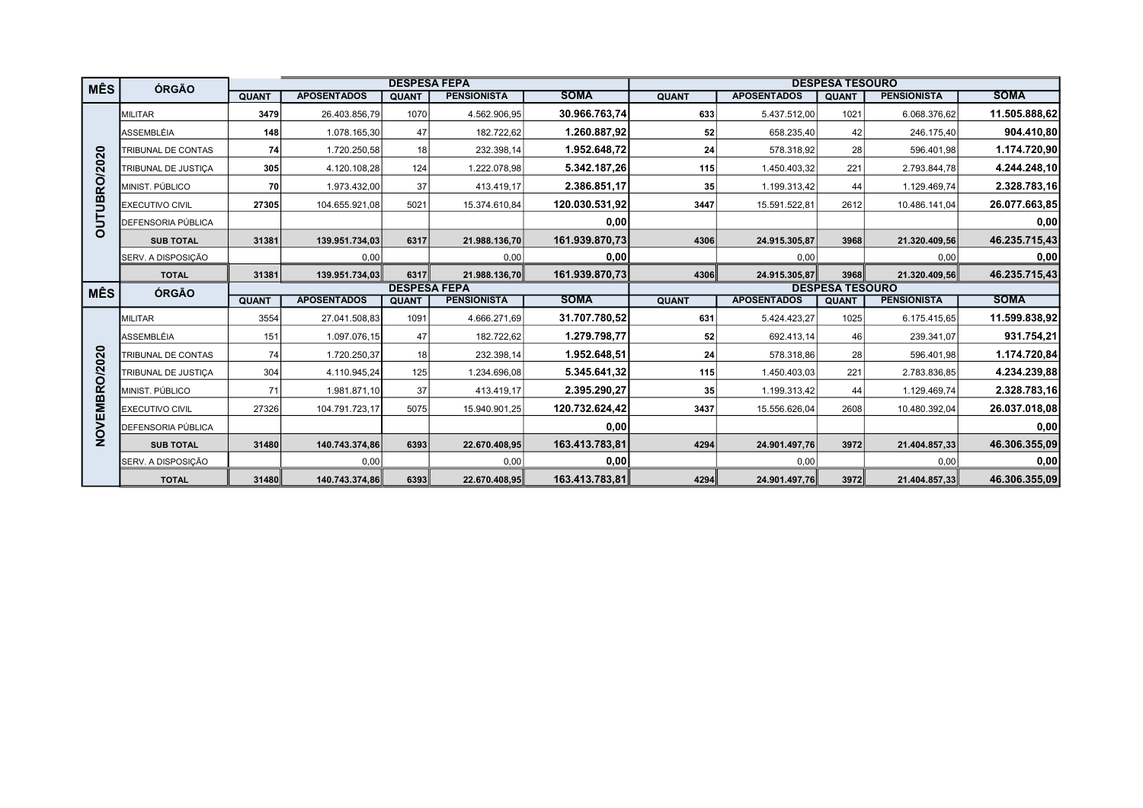| <b>MÊS</b>    | ÓRGÃO                     |              |                    | <b>DESPESA FEPA</b> |                    |                | <b>DESPESA TESOURO</b> |                    |              |                    |               |  |
|---------------|---------------------------|--------------|--------------------|---------------------|--------------------|----------------|------------------------|--------------------|--------------|--------------------|---------------|--|
|               |                           | <b>QUANT</b> | <b>APOSENTADOS</b> | <b>QUANT</b>        | <b>PENSIONISTA</b> | <b>SOMA</b>    | <b>QUANT</b>           | <b>APOSENTADOS</b> | <b>QUANT</b> | <b>PENSIONISTA</b> | <b>SOMA</b>   |  |
|               | <b>MILITAR</b>            | 3479         | 26.403.856,79      | 1070                | 4.562.906,95       | 30.966.763,74  | 633                    | 5.437.512,00       | 1021         | 6.068.376,62       | 11.505.888,62 |  |
|               | <b>ASSEMBLÉIA</b>         | 148          | 1.078.165,30       | 47                  | 182.722,62         | 1.260.887,92   | 52                     | 658.235,40         | 42           | 246.175,40         | 904.410,80    |  |
|               | TRIBUNAL DE CONTAS        | 74           | 1.720.250,58       | 18                  | 232.398,14         | 1.952.648.72   | 24                     | 578.318,92         | 28           | 596.401,98         | 1.174.720,90  |  |
|               | TRIBUNAL DE JUSTICA       | 305          | 4.120.108,28       | 124                 | 1.222.078,98       | 5.342.187,26   | 115                    | 1.450.403,32       | 221          | 2.793.844,78       | 4.244.248,10  |  |
|               | MINIST. PÚBLICO           | 70           | 1.973.432,00       | 37                  | 413.419,17         | 2.386.851,17   | 35                     | 1.199.313,42       | 44           | 1.129.469,74       | 2.328.783,16  |  |
| OUTUBRO/2020  | <b>EXECUTIVO CIVIL</b>    | 27305        | 104.655.921,08     | 5021                | 15.374.610.84      | 120.030.531.92 | 3447                   | 15.591.522,81      | 2612         | 10.486.141.04      | 26.077.663,85 |  |
|               | <b>DEFENSORIA PÚBLICA</b> |              |                    |                     |                    | 0,00           |                        |                    |              |                    | 0,00          |  |
|               | <b>SUB TOTAL</b>          | 31381        | 139.951.734,03     | 6317                | 21.988.136,70      | 161.939.870,73 | 4306                   | 24.915.305,87      | 3968         | 21.320.409,56      | 46.235.715,43 |  |
|               | SERV. A DISPOSIÇÃO        |              | 0,00               |                     | 0,00               | 0,00           |                        | 0,00               |              | 0,00               | 0,00          |  |
|               | <b>TOTAL</b>              | 31381        | 139.951.734,03     | 6317                | 21.988.136,70      | 161.939.870.73 | 4306                   | 24.915.305,87      | 3968         | 21.320.409,56      | 46.235.715,43 |  |
| <b>MÊS</b>    | ÓRGÃO                     |              |                    | <b>DESPESA FEPA</b> |                    |                | <b>DESPESA TESOURO</b> |                    |              |                    |               |  |
|               |                           | <b>QUANT</b> | <b>APOSENTADOS</b> | <b>QUANT</b>        | <b>PENSIONISTA</b> | <b>SOMA</b>    | <b>QUANT</b>           | <b>APOSENTADOS</b> | <b>QUANT</b> | <b>PENSIONISTA</b> | <b>SOMA</b>   |  |
|               | <b>MILITAR</b>            | 3554         | 27.041.508,83      | 1091                | 4.666.271,69       | 31.707.780,52  | 631                    | 5.424.423,27       | 1025         | 6.175.415,65       | 11.599.838,92 |  |
|               | ASSEMBLÉIA                | 151          | 1.097.076,15       | 47                  | 182.722,62         | 1.279.798,77   | 52                     | 692.413,14         | 46           | 239.341,07         | 931.754,21    |  |
|               | <b>TRIBUNAL DE CONTAS</b> | 74           | 1.720.250,37       | 18                  | 232.398,14         | 1.952.648.51   | 24                     | 578.318,86         | 28           | 596.401,98         | 1.174.720,84  |  |
|               | TRIBUNAL DE JUSTICA       | 304          | 4.110.945,24       | 125                 | 1.234.696,08       | 5.345.641.32   | 115                    | 1.450.403,03       | 221          | 2.783.836,85       | 4.234.239,88  |  |
|               |                           |              |                    |                     |                    |                |                        |                    |              |                    |               |  |
|               | MINIST. PÚBLICO           | 71           | 1.981.871,10       | 37                  | 413.419,17         | 2.395.290,27   | 35 <sup>5</sup>        | 1.199.313,42       | 44           | 1.129.469,74       | 2.328.783,16  |  |
|               | <b>EXECUTIVO CIVIL</b>    | 27326        | 104.791.723,17     | 5075                | 15.940.901,25      | 120.732.624,42 | 3437                   | 15.556.626,04      | 2608         | 10.480.392,04      | 26.037.018,08 |  |
|               | DEFENSORIA PÚBLICA        |              |                    |                     |                    | 0,00           |                        |                    |              |                    | 0,00          |  |
| NOVEMBRO/2020 | <b>SUB TOTAL</b>          | 31480        | 140.743.374,86     | 6393                | 22.670.408,95      | 163.413.783,81 | 4294                   | 24.901.497,76      | 3972         | 21.404.857,33      | 46.306.355,09 |  |
|               | SERV. A DISPOSIÇÃO        |              | 0,00               |                     | 0,00               | 0,00           |                        | 0,00               |              | 0,00               | 0,00          |  |